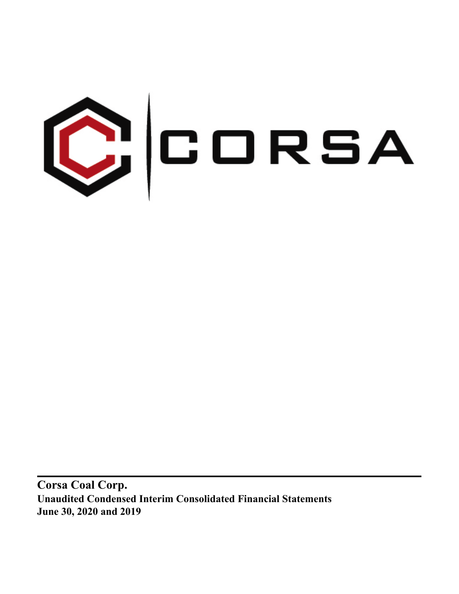

**Corsa Coal Corp. Unaudited Condensed Interim Consolidated Financial Statements June 30, 2020 and 2019**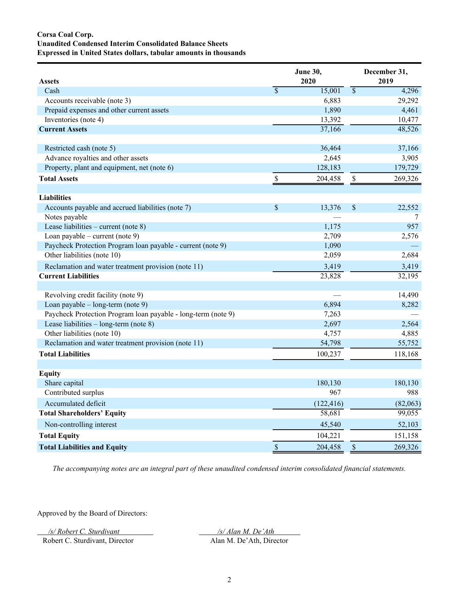# **Corsa Coal Corp. Unaudited Condensed Interim Consolidated Balance Sheets Expressed in United States dollars, tabular amounts in thousands**

| <b>Assets</b>                                                 |                           | <b>June 30,</b><br>2020 |                           | December 31,<br>2019 |
|---------------------------------------------------------------|---------------------------|-------------------------|---------------------------|----------------------|
| Cash                                                          | $\overline{\mathcal{S}}$  | 15,001                  | $\overline{\$}$           | 4,296                |
| Accounts receivable (note 3)                                  |                           | 6,883                   |                           | 29,292               |
| Prepaid expenses and other current assets                     |                           | 1,890                   |                           | 4,461                |
| Inventories (note 4)                                          |                           | 13,392                  |                           | 10,477               |
| <b>Current Assets</b>                                         |                           | 37,166                  |                           | 48,526               |
| Restricted cash (note 5)                                      |                           | 36,464                  |                           | 37,166               |
| Advance royalties and other assets                            |                           | 2,645                   |                           | 3,905                |
| Property, plant and equipment, net (note 6)                   |                           | 128,183                 |                           | 179,729              |
| <b>Total Assets</b>                                           | $\mathbb S$               | 204,458                 | $\boldsymbol{\mathsf{S}}$ | 269,326              |
| <b>Liabilities</b>                                            |                           |                         |                           |                      |
| Accounts payable and accrued liabilities (note 7)             | \$                        | 13,376                  | \$                        | 22,552               |
| Notes payable                                                 |                           |                         |                           | 7                    |
| Lease liabilities – current (note $8$ )                       |                           | 1,175                   |                           | 957                  |
| Loan payable – current (note 9)                               |                           | 2,709                   |                           | 2,576                |
| Paycheck Protection Program loan payable - current (note 9)   |                           | 1,090                   |                           |                      |
| Other liabilities (note 10)                                   |                           | 2,059                   |                           | 2,684                |
| Reclamation and water treatment provision (note 11)           |                           | 3,419                   |                           | 3,419                |
| <b>Current Liabilities</b>                                    |                           | 23,828                  |                           | 32,195               |
| Revolving credit facility (note 9)                            |                           |                         |                           | 14,490               |
| Loan payable - long-term (note 9)                             |                           | 6,894                   |                           | 8,282                |
| Paycheck Protection Program Ioan payable - long-term (note 9) |                           | 7,263                   |                           |                      |
| Lease liabilities $-$ long-term (note 8)                      |                           | 2,697                   |                           | 2,564                |
| Other liabilities (note 10)                                   |                           | 4,757                   |                           | 4,885                |
| Reclamation and water treatment provision (note 11)           |                           | 54,798                  |                           | 55,752               |
| <b>Total Liabilities</b>                                      |                           | 100,237                 |                           | 118,168              |
| <b>Equity</b>                                                 |                           |                         |                           |                      |
| Share capital                                                 |                           | 180,130                 |                           | 180,130              |
| Contributed surplus                                           |                           | 967                     |                           | 988                  |
| Accumulated deficit                                           |                           | (122, 416)              |                           | (82,063)             |
| <b>Total Shareholders' Equity</b>                             |                           | 58,681                  |                           | 99,055               |
| Non-controlling interest                                      |                           | 45,540                  |                           | 52,103               |
| <b>Total Equity</b>                                           |                           | 104,221                 |                           | 151,158              |
| <b>Total Liabilities and Equity</b>                           | $\boldsymbol{\mathsf{S}}$ | 204,458                 | $\mathsf{\$}$             | 269,326              |

*The accompanying notes are an integral part of these unaudited condensed interim consolidated financial statements.*

Approved by the Board of Directors:

*/s/ Robert C. Sturdivant /s/ Alan M. De'Ath* 

Robert C. Sturdivant, Director Alan M. De'Ath, Director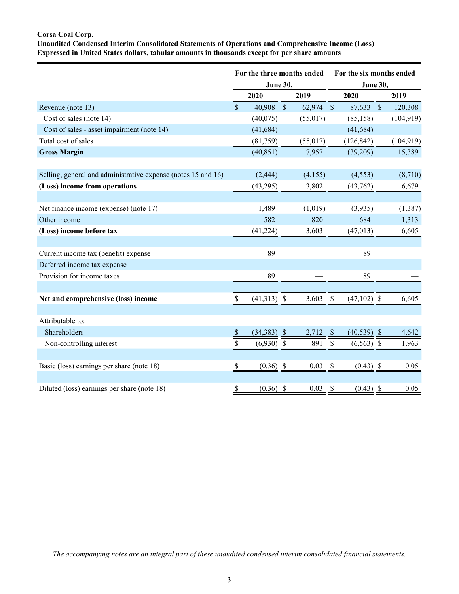# **Corsa Coal Corp.**

**Unaudited Condensed Interim Consolidated Statements of Operations and Comprehensive Income (Loss) Expressed in United States dollars, tabular amounts in thousands except for per share amounts**

|                                                               |                           |                         |               | For the three months ended | For the six months ended<br><b>June 30,</b> |                |            |            |  |  |  |
|---------------------------------------------------------------|---------------------------|-------------------------|---------------|----------------------------|---------------------------------------------|----------------|------------|------------|--|--|--|
|                                                               |                           | <b>June 30,</b><br>2020 |               | 2019                       |                                             | 2020           |            | 2019       |  |  |  |
| Revenue (note 13)                                             | $\mathcal{S}$             | 40,908                  | $\mathcal{S}$ | 62,974                     | $\mathcal{S}$                               | 87,633         | $\sqrt{S}$ | 120,308    |  |  |  |
| Cost of sales (note 14)                                       |                           | (40,075)                |               | (55, 017)                  |                                             | (85, 158)      |            | (104, 919) |  |  |  |
| Cost of sales - asset impairment (note 14)                    |                           | (41, 684)               |               |                            |                                             | (41, 684)      |            |            |  |  |  |
| Total cost of sales                                           |                           | (81,759)                |               | (55,017)                   |                                             | (126, 842)     |            | (104, 919) |  |  |  |
| <b>Gross Margin</b>                                           |                           | (40, 851)               |               | 7,957                      |                                             | (39,209)       |            | 15,389     |  |  |  |
| Selling, general and administrative expense (notes 15 and 16) |                           | (2, 444)                |               | (4, 155)                   |                                             | (4, 553)       |            | (8,710)    |  |  |  |
| (Loss) income from operations                                 |                           | (43,295)                |               | 3,802                      |                                             | (43, 762)      |            | 6,679      |  |  |  |
|                                                               |                           |                         |               |                            |                                             |                |            |            |  |  |  |
| Net finance income (expense) (note 17)                        |                           | 1,489                   |               | (1,019)                    |                                             | (3,935)        |            | (1, 387)   |  |  |  |
| Other income                                                  |                           | 582                     |               | 820                        |                                             | 684            |            | 1,313      |  |  |  |
| (Loss) income before tax                                      |                           | (41, 224)               |               | 3,603                      |                                             | (47, 013)      |            | 6,605      |  |  |  |
|                                                               |                           |                         |               |                            |                                             |                |            |            |  |  |  |
| Current income tax (benefit) expense                          |                           | 89                      |               |                            |                                             | 89             |            |            |  |  |  |
| Deferred income tax expense                                   |                           |                         |               |                            |                                             |                |            |            |  |  |  |
| Provision for income taxes                                    |                           | 89                      |               |                            |                                             | 89             |            |            |  |  |  |
|                                                               |                           |                         |               |                            |                                             |                |            |            |  |  |  |
| Net and comprehensive (loss) income                           | \$                        | $(41,313)$ \$           |               | 3,603                      | $\boldsymbol{\mathsf{S}}$                   | $(47,102)$ \$  |            | 6,605      |  |  |  |
| Attributable to:                                              |                           |                         |               |                            |                                             |                |            |            |  |  |  |
| Shareholders                                                  | $\boldsymbol{\mathsf{S}}$ | $(34,383)$ \$           |               | $2,712$ \$                 |                                             | $(40, 539)$ \$ |            | 4,642      |  |  |  |
| Non-controlling interest                                      | \$                        | $(6,930)$ \$            |               | 891                        | $\mathbb{S}$                                | $(6,563)$ \$   |            | 1,963      |  |  |  |
|                                                               |                           |                         |               |                            |                                             |                |            |            |  |  |  |
| Basic (loss) earnings per share (note 18)                     | \$                        | $(0.36)$ \$             |               | 0.03                       | $\boldsymbol{\mathsf{S}}$                   | $(0.43)$ \$    |            | 0.05       |  |  |  |
|                                                               |                           |                         |               |                            |                                             |                |            |            |  |  |  |
| Diluted (loss) earnings per share (note 18)                   | \$                        | $(0.36)$ \$             |               | 0.03                       | $\boldsymbol{\mathsf{S}}$                   | $(0.43)$ \$    |            | 0.05       |  |  |  |

*The accompanying notes are an integral part of these unaudited condensed interim consolidated financial statements.*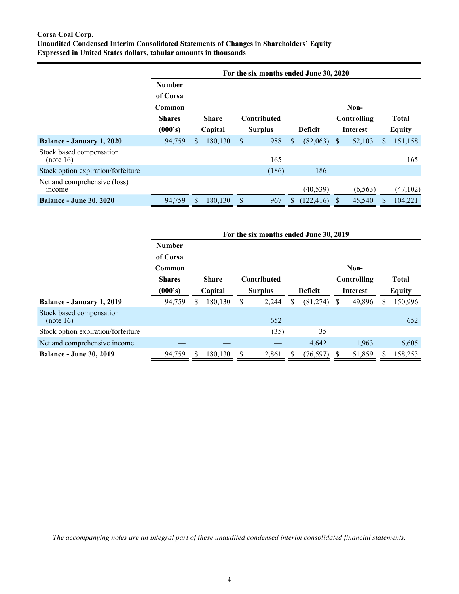# **Corsa Coal Corp. Unaudited Condensed Interim Consolidated Statements of Changes in Shareholders' Equity Expressed in United States dollars, tabular amounts in thousands**

|                                        |               |    |              |    | For the six months ended June 30, 2020 |    |                |   |                 |   |               |
|----------------------------------------|---------------|----|--------------|----|----------------------------------------|----|----------------|---|-----------------|---|---------------|
|                                        | <b>Number</b> |    |              |    |                                        |    |                |   |                 |   |               |
|                                        | of Corsa      |    |              |    |                                        |    |                |   |                 |   |               |
|                                        | Common        |    |              |    |                                        |    |                |   | Non-            |   |               |
|                                        | <b>Shares</b> |    | <b>Share</b> |    | Contributed                            |    |                |   | Controlling     |   | <b>Total</b>  |
|                                        | (000's)       |    | Capital      |    | <b>Surplus</b>                         |    | <b>Deficit</b> |   | <b>Interest</b> |   | <b>Equity</b> |
| <b>Balance - January 1, 2020</b>       | 94,759        | \$ | 180,130      | \$ | 988                                    | \$ | (82,063)       | S | 52,103          | S | 151,158       |
| Stock based compensation<br>(note 16)  |               |    |              |    | 165                                    |    |                |   |                 |   | 165           |
| Stock option expiration/forfeiture     |               |    |              |    | (186)                                  |    | 186            |   |                 |   |               |
| Net and comprehensive (loss)<br>income |               |    |              |    |                                        |    | (40, 539)      |   | (6, 563)        |   | (47, 102)     |
| <b>Balance - June 30, 2020</b>         | 94,759        | S. | 180,130      | S  | 967                                    | S  | (122, 416)     |   | 45,540          |   | 104,221       |

|                                       |               |                           |              |                | For the six months ended June 30, 2019 |  |           |               |             |   |              |
|---------------------------------------|---------------|---------------------------|--------------|----------------|----------------------------------------|--|-----------|---------------|-------------|---|--------------|
|                                       | <b>Number</b> |                           |              |                |                                        |  |           |               |             |   |              |
|                                       | of Corsa      |                           |              |                |                                        |  |           |               |             |   |              |
|                                       | Common        |                           |              |                |                                        |  |           |               | Non-        |   |              |
|                                       | <b>Shares</b> |                           | <b>Share</b> |                | Contributed                            |  |           |               | Controlling |   | <b>Total</b> |
|                                       | (000's)       | Capital<br><b>Surplus</b> |              | <b>Deficit</b> | <b>Interest</b>                        |  |           | <b>Equity</b> |             |   |              |
| Balance - January 1, 2019             | 94,759        | \$                        | 180,130      | S              | 2,244                                  |  | (81, 274) | S             | 49,896      | S | 150,996      |
| Stock based compensation<br>(note 16) |               |                           |              |                | 652                                    |  |           |               |             |   | 652          |
| Stock option expiration/forfeiture    |               |                           |              |                | (35)                                   |  | 35        |               |             |   |              |
| Net and comprehensive income          |               |                           |              |                |                                        |  | 4,642     |               | 1,963       |   | 6,605        |
| <b>Balance - June 30, 2019</b>        | 94,759        |                           | 180,130      |                | 2,861                                  |  | (76, 597) |               | 51,859      |   | 158,253      |

*The accompanying notes are an integral part of these unaudited condensed interim consolidated financial statements.*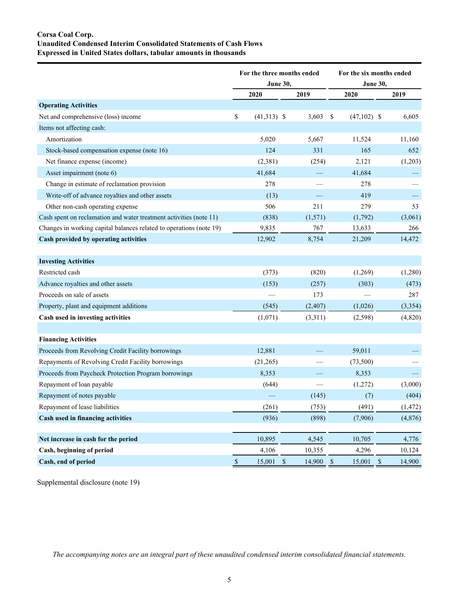# **Corsa Coal Corp. Unaudited Condensed Interim Consolidated Statements of Cash Flows Expressed in United States dollars, tabular amounts in thousands**

|                                                                     | For the three months ended |                 |              |          |            | For the six months ended |  |          |  |  |
|---------------------------------------------------------------------|----------------------------|-----------------|--------------|----------|------------|--------------------------|--|----------|--|--|
|                                                                     |                            | <b>June 30,</b> |              |          |            | <b>June 30,</b>          |  |          |  |  |
|                                                                     |                            | 2020            |              | 2019     |            | 2020                     |  | 2019     |  |  |
| <b>Operating Activities</b>                                         |                            |                 |              |          |            |                          |  |          |  |  |
| Net and comprehensive (loss) income                                 | \$                         | $(41,313)$ \$   |              | 3,603    | \$         | $(47,102)$ \$            |  | 6,605    |  |  |
| Items not affecting cash:                                           |                            |                 |              |          |            |                          |  |          |  |  |
| Amortization                                                        |                            | 5,020           |              | 5,667    |            | 11,524                   |  | 11,160   |  |  |
| Stock-based compensation expense (note 16)                          |                            | 124             |              | 331      |            | 165                      |  | 652      |  |  |
| Net finance expense (income)                                        |                            | (2,381)         |              | (254)    |            | 2,121                    |  | (1,203)  |  |  |
| Asset impairment (note 6)                                           |                            | 41,684          |              |          |            | 41,684                   |  |          |  |  |
| Change in estimate of reclamation provision                         |                            | 278             |              |          |            | 278                      |  |          |  |  |
| Write-off of advance royalties and other assets                     |                            | (13)            |              |          |            | 419                      |  |          |  |  |
| Other non-cash operating expense                                    |                            | 506             |              | 211      |            | 279                      |  | 53       |  |  |
| Cash spent on reclamation and water treatment activities (note 11)  |                            | (838)           |              | (1,571)  |            | (1,792)                  |  | (3,061)  |  |  |
| Changes in working capital balances related to operations (note 19) |                            | 9,835           |              | 767      |            | 13,633                   |  | 266      |  |  |
| Cash provided by operating activities                               |                            | 12,902          |              | 8,754    |            | 21,209                   |  | 14,472   |  |  |
|                                                                     |                            |                 |              |          |            |                          |  |          |  |  |
| <b>Investing Activities</b>                                         |                            |                 |              |          |            |                          |  |          |  |  |
| Restricted cash                                                     |                            | (373)           |              | (820)    |            | (1,269)                  |  | (1,280)  |  |  |
| Advance royalties and other assets                                  |                            | (153)           |              | (257)    |            | (303)                    |  | (473)    |  |  |
| Proceeds on sale of assets                                          |                            |                 |              | 173      |            |                          |  | 287      |  |  |
| Property, plant and equipment additions                             |                            | (545)           |              | (2, 407) |            | (1,026)                  |  | (3,354)  |  |  |
| Cash used in investing activities                                   |                            | (1,071)         |              | (3,311)  |            | (2, 598)                 |  | (4,820)  |  |  |
|                                                                     |                            |                 |              |          |            |                          |  |          |  |  |
| <b>Financing Activities</b>                                         |                            |                 |              |          |            |                          |  |          |  |  |
| Proceeds from Revolving Credit Facility borrowings                  |                            | 12,881          |              |          |            | 59,011                   |  |          |  |  |
| Repayments of Revolving Credit Facility borrowings                  |                            | (21,265)        |              |          |            | (73,500)                 |  |          |  |  |
| Proceeds from Paycheck Protection Program borrowings                |                            | 8,353           |              |          |            | 8,353                    |  |          |  |  |
| Repayment of loan payable                                           |                            | (644)           |              |          |            | (1,272)                  |  | (3,000)  |  |  |
| Repayment of notes payable                                          |                            |                 |              | (145)    |            | (7)                      |  | (404)    |  |  |
| Repayment of lease liabilities                                      |                            | (261)           |              | (753)    |            | (491)                    |  | (1, 472) |  |  |
| Cash used in financing activities                                   |                            | (936)           |              | (898)    |            | (7,906)                  |  | (4, 876) |  |  |
|                                                                     |                            |                 |              |          |            |                          |  |          |  |  |
| Net increase in cash for the period                                 |                            | 10,895          |              | 4,545    |            | 10,705                   |  | 4,776    |  |  |
| Cash, beginning of period                                           |                            | 4,106           |              | 10,355   |            | 4,296                    |  | 10,124   |  |  |
| Cash, end of period                                                 | $\mathbb{S}$               | 15,001          | $\mathbb{S}$ | 14,900   | $\sqrt{S}$ | $15,001$ \$              |  | 14,900   |  |  |

Supplemental disclosure (note 19)

*The accompanying notes are an integral part of these unaudited condensed interim consolidated financial statements.*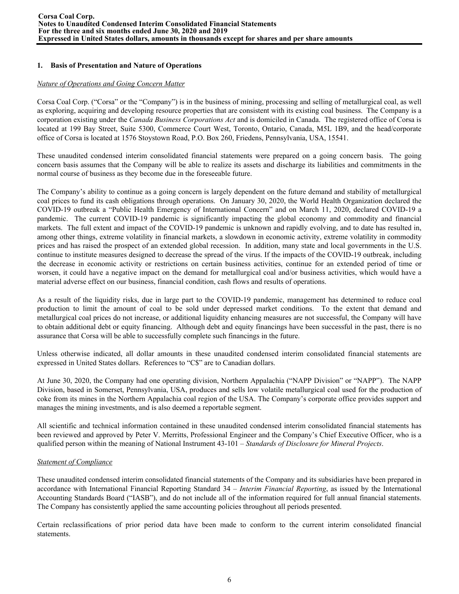## **1. Basis of Presentation and Nature of Operations**

### *Nature of Operations and Going Concern Matter*

Corsa Coal Corp. ("Corsa" or the "Company") is in the business of mining, processing and selling of metallurgical coal, as well as exploring, acquiring and developing resource properties that are consistent with its existing coal business. The Company is a corporation existing under the *Canada Business Corporations Act* and is domiciled in Canada. The registered office of Corsa is located at 199 Bay Street, Suite 5300, Commerce Court West, Toronto, Ontario, Canada, M5L 1B9, and the head/corporate office of Corsa is located at 1576 Stoystown Road, P.O. Box 260, Friedens, Pennsylvania, USA, 15541.

These unaudited condensed interim consolidated financial statements were prepared on a going concern basis. The going concern basis assumes that the Company will be able to realize its assets and discharge its liabilities and commitments in the normal course of business as they become due in the foreseeable future.

The Company's ability to continue as a going concern is largely dependent on the future demand and stability of metallurgical coal prices to fund its cash obligations through operations. On January 30, 2020, the World Health Organization declared the COVID-19 outbreak a "Public Health Emergency of International Concern" and on March 11, 2020, declared COVID-19 a pandemic. The current COVID-19 pandemic is significantly impacting the global economy and commodity and financial markets. The full extent and impact of the COVID-19 pandemic is unknown and rapidly evolving, and to date has resulted in, among other things, extreme volatility in financial markets, a slowdown in economic activity, extreme volatility in commodity prices and has raised the prospect of an extended global recession. In addition, many state and local governments in the U.S. continue to institute measures designed to decrease the spread of the virus. If the impacts of the COVID-19 outbreak, including the decrease in economic activity or restrictions on certain business activities, continue for an extended period of time or worsen, it could have a negative impact on the demand for metallurgical coal and/or business activities, which would have a material adverse effect on our business, financial condition, cash flows and results of operations.

As a result of the liquidity risks, due in large part to the COVID-19 pandemic, management has determined to reduce coal production to limit the amount of coal to be sold under depressed market conditions. To the extent that demand and metallurgical coal prices do not increase, or additional liquidity enhancing measures are not successful, the Company will have to obtain additional debt or equity financing. Although debt and equity financings have been successful in the past, there is no assurance that Corsa will be able to successfully complete such financings in the future.

Unless otherwise indicated, all dollar amounts in these unaudited condensed interim consolidated financial statements are expressed in United States dollars. References to "C\$" are to Canadian dollars.

At June 30, 2020, the Company had one operating division, Northern Appalachia ("NAPP Division" or "NAPP"). The NAPP Division, based in Somerset, Pennsylvania, USA, produces and sells low volatile metallurgical coal used for the production of coke from its mines in the Northern Appalachia coal region of the USA. The Company's corporate office provides support and manages the mining investments, and is also deemed a reportable segment.

All scientific and technical information contained in these unaudited condensed interim consolidated financial statements has been reviewed and approved by Peter V. Merritts, Professional Engineer and the Company's Chief Executive Officer, who is a qualified person within the meaning of National Instrument 43-101 – *Standards of Disclosure for Mineral Projects*.

## *Statement of Compliance*

These unaudited condensed interim consolidated financial statements of the Company and its subsidiaries have been prepared in accordance with International Financial Reporting Standard 34 – *Interim Financial Reporting*, as issued by the International Accounting Standards Board ("IASB"), and do not include all of the information required for full annual financial statements. The Company has consistently applied the same accounting policies throughout all periods presented.

Certain reclassifications of prior period data have been made to conform to the current interim consolidated financial statements.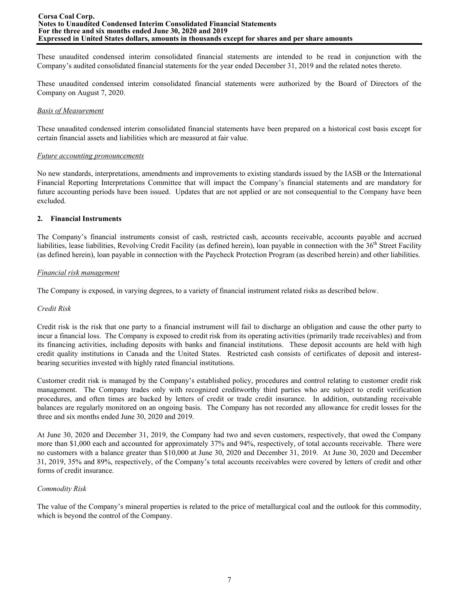These unaudited condensed interim consolidated financial statements are intended to be read in conjunction with the Company's audited consolidated financial statements for the year ended December 31, 2019 and the related notes thereto.

These unaudited condensed interim consolidated financial statements were authorized by the Board of Directors of the Company on August 7, 2020.

### *Basis of Measurement*

These unaudited condensed interim consolidated financial statements have been prepared on a historical cost basis except for certain financial assets and liabilities which are measured at fair value.

### *Future accounting pronouncements*

No new standards, interpretations, amendments and improvements to existing standards issued by the IASB or the International Financial Reporting Interpretations Committee that will impact the Company's financial statements and are mandatory for future accounting periods have been issued. Updates that are not applied or are not consequential to the Company have been excluded.

## **2. Financial Instruments**

The Company's financial instruments consist of cash, restricted cash, accounts receivable, accounts payable and accrued liabilities, lease liabilities, Revolving Credit Facility (as defined herein), loan payable in connection with the  $36<sup>th</sup>$  Street Facility (as defined herein), loan payable in connection with the Paycheck Protection Program (as described herein) and other liabilities.

### *Financial risk management*

The Company is exposed, in varying degrees, to a variety of financial instrument related risks as described below.

## *Credit Risk*

Credit risk is the risk that one party to a financial instrument will fail to discharge an obligation and cause the other party to incur a financial loss. The Company is exposed to credit risk from its operating activities (primarily trade receivables) and from its financing activities, including deposits with banks and financial institutions. These deposit accounts are held with high credit quality institutions in Canada and the United States. Restricted cash consists of certificates of deposit and interestbearing securities invested with highly rated financial institutions.

Customer credit risk is managed by the Company's established policy, procedures and control relating to customer credit risk management. The Company trades only with recognized creditworthy third parties who are subject to credit verification procedures, and often times are backed by letters of credit or trade credit insurance. In addition, outstanding receivable balances are regularly monitored on an ongoing basis. The Company has not recorded any allowance for credit losses for the three and six months ended June 30, 2020 and 2019.

At June 30, 2020 and December 31, 2019, the Company had two and seven customers, respectively, that owed the Company more than \$1,000 each and accounted for approximately 37% and 94%, respectively, of total accounts receivable. There were no customers with a balance greater than \$10,000 at June 30, 2020 and December 31, 2019. At June 30, 2020 and December 31, 2019, 35% and 89%, respectively, of the Company's total accounts receivables were covered by letters of credit and other forms of credit insurance.

## *Commodity Risk*

The value of the Company's mineral properties is related to the price of metallurgical coal and the outlook for this commodity, which is beyond the control of the Company.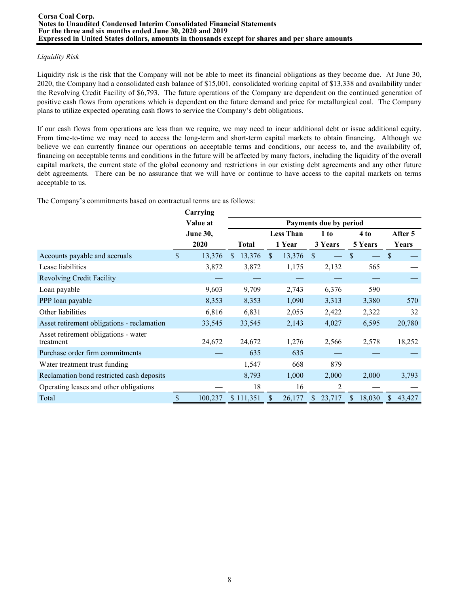# *Liquidity Risk*

Liquidity risk is the risk that the Company will not be able to meet its financial obligations as they become due. At June 30, 2020, the Company had a consolidated cash balance of \$15,001, consolidated working capital of \$13,338 and availability under the Revolving Credit Facility of \$6,793. The future operations of the Company are dependent on the continued generation of positive cash flows from operations which is dependent on the future demand and price for metallurgical coal. The Company plans to utilize expected operating cash flows to service the Company's debt obligations.

If our cash flows from operations are less than we require, we may need to incur additional debt or issue additional equity. From time-to-time we may need to access the long-term and short-term capital markets to obtain financing. Although we believe we can currently finance our operations on acceptable terms and conditions, our access to, and the availability of, financing on acceptable terms and conditions in the future will be affected by many factors, including the liquidity of the overall capital markets, the current state of the global economy and restrictions in our existing debt agreements and any other future debt agreements. There can be no assurance that we will have or continue to have access to the capital markets on terms acceptable to us.

The Company's commitments based on contractual terms are as follows:

|                                                   | Carrying        |               |              |                        |                  |               |         |              |        |               |         |
|---------------------------------------------------|-----------------|---------------|--------------|------------------------|------------------|---------------|---------|--------------|--------|---------------|---------|
|                                                   | Value at        |               |              | Payments due by period |                  |               |         |              |        |               |         |
|                                                   | <b>June 30,</b> |               |              |                        | <b>Less Than</b> |               | 1 to    |              | 4 to   |               | After 5 |
|                                                   | 2020            |               | <b>Total</b> |                        | 1 Year           |               | 3 Years | 5 Years      |        |               | Years   |
| Accounts payable and accruals                     | \$<br>13,376    | <sup>\$</sup> | 13,376       | \$.                    | 13,376           | <sup>\$</sup> |         | \$           |        | <sup>\$</sup> |         |
| Lease liabilities                                 | 3,872           |               | 3,872        |                        | 1,175            |               | 2,132   |              | 565    |               |         |
| <b>Revolving Credit Facility</b>                  |                 |               |              |                        |                  |               |         |              |        |               |         |
| Loan payable                                      | 9,603           |               | 9,709        |                        | 2,743            |               | 6,376   |              | 590    |               |         |
| PPP loan payable                                  | 8,353           |               | 8,353        |                        | 1,090            |               | 3,313   |              | 3,380  |               | 570     |
| Other liabilities                                 | 6,816           |               | 6,831        |                        | 2,055            |               | 2,422   |              | 2,322  |               | 32      |
| Asset retirement obligations - reclamation        | 33,545          |               | 33,545       |                        | 2,143            |               | 4,027   |              | 6,595  |               | 20,780  |
| Asset retirement obligations - water<br>treatment | 24,672          |               | 24,672       |                        | 1,276            |               | 2,566   |              | 2,578  |               | 18,252  |
| Purchase order firm commitments                   |                 |               | 635          |                        | 635              |               |         |              |        |               |         |
| Water treatment trust funding                     |                 |               | 1,547        |                        | 668              |               | 879     |              |        |               |         |
| Reclamation bond restricted cash deposits         |                 |               | 8,793        |                        | 1,000            |               | 2,000   |              | 2,000  |               | 3,793   |
| Operating leases and other obligations            |                 |               | 18           |                        | 16               |               | 2       |              |        |               |         |
| Total                                             | \$<br>100,237   |               | \$111,351    |                        | 26,177           | S             | 23,717  | $\mathbb{S}$ | 18,030 | S             | 43,427  |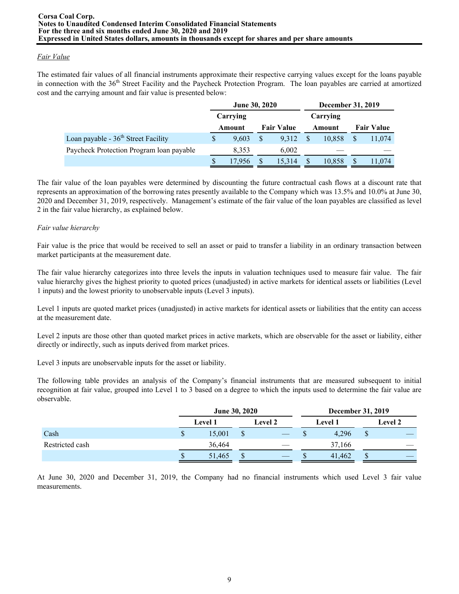# *Fair Value*

The estimated fair values of all financial instruments approximate their respective carrying values except for the loans payable in connection with the 36<sup>th</sup> Street Facility and the Paycheck Protection Program. The loan payables are carried at amortized cost and the carrying amount and fair value is presented below:

|                                          | June 30, 2020 |              |                   | December 31, 2019 |                   |
|------------------------------------------|---------------|--------------|-------------------|-------------------|-------------------|
|                                          | Carrying      |              |                   | Carrying          |                   |
|                                          | Amount        |              | <b>Fair Value</b> | Amount            | <b>Fair Value</b> |
| Loan payable - $36th$ Street Facility    | 9.603         | S            | 9.312             | 10.858            | 11,074            |
| Paycheck Protection Program loan payable | 8,353         |              | 6.002             |                   |                   |
|                                          | 17.956        | $\mathbb{S}$ | 15.314            | 10,858            | 11,074            |

The fair value of the loan payables were determined by discounting the future contractual cash flows at a discount rate that represents an approximation of the borrowing rates presently available to the Company which was 13.5% and 10.0% at June 30, 2020 and December 31, 2019, respectively. Management's estimate of the fair value of the loan payables are classified as level 2 in the fair value hierarchy, as explained below.

# *Fair value hierarchy*

Fair value is the price that would be received to sell an asset or paid to transfer a liability in an ordinary transaction between market participants at the measurement date.

The fair value hierarchy categorizes into three levels the inputs in valuation techniques used to measure fair value. The fair value hierarchy gives the highest priority to quoted prices (unadjusted) in active markets for identical assets or liabilities (Level 1 inputs) and the lowest priority to unobservable inputs (Level 3 inputs).

Level 1 inputs are quoted market prices (unadjusted) in active markets for identical assets or liabilities that the entity can access at the measurement date.

Level 2 inputs are those other than quoted market prices in active markets, which are observable for the asset or liability, either directly or indirectly, such as inputs derived from market prices.

Level 3 inputs are unobservable inputs for the asset or liability.

The following table provides an analysis of the Company's financial instruments that are measured subsequent to initial recognition at fair value, grouped into Level 1 to 3 based on a degree to which the inputs used to determine the fair value are observable.

|                 | June 30, 2020 |                |    |                |                |        | December 31, 2019 |                |  |
|-----------------|---------------|----------------|----|----------------|----------------|--------|-------------------|----------------|--|
|                 |               | <b>Level 1</b> |    | <b>Level 2</b> | <b>Level 1</b> |        |                   | <b>Level 2</b> |  |
| Cash            | Φ             | 15,001         |    |                |                | 4.296  | Φ                 |                |  |
| Restricted cash |               | 36,464         |    |                |                | 37,166 |                   |                |  |
|                 | ۰D            | 51,465         | ۰D |                | ъĐ             | 41,462 | لال               |                |  |

At June 30, 2020 and December 31, 2019, the Company had no financial instruments which used Level 3 fair value measurements.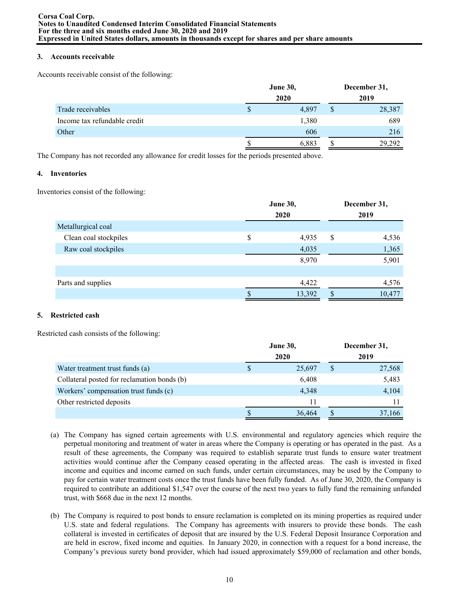## **3. Accounts receivable**

Accounts receivable consist of the following:

|                              | <b>June 30,</b> | December 31, |
|------------------------------|-----------------|--------------|
|                              | 2020            | 2019         |
| Trade receivables            | 4,897           | \$<br>28,387 |
| Income tax refundable credit | 1,380           | 689          |
| Other                        | 606             | 216          |
|                              | 6,883           | 29,292       |

The Company has not recorded any allowance for credit losses for the periods presented above.

# **4. Inventories**

Inventories consist of the following:

|                       | <b>June 30,</b><br>2020 | December 31,<br>2019 |        |  |  |
|-----------------------|-------------------------|----------------------|--------|--|--|
| Metallurgical coal    |                         |                      |        |  |  |
| Clean coal stockpiles | \$<br>4,935             | S                    | 4,536  |  |  |
| Raw coal stockpiles   | 4,035                   |                      | 1,365  |  |  |
|                       | 8,970                   |                      | 5,901  |  |  |
|                       |                         |                      |        |  |  |
| Parts and supplies    | 4,422                   |                      | 4,576  |  |  |
|                       | 13,392                  |                      | 10,477 |  |  |

# **5. Restricted cash**

Restricted cash consists of the following:

|                                             |   | June 30, |   | December 31, |
|---------------------------------------------|---|----------|---|--------------|
|                                             |   | 2020     |   | 2019         |
| Water treatment trust funds (a)             | S | 25,697   | S | 27,568       |
| Collateral posted for reclamation bonds (b) |   | 6,408    |   | 5,483        |
| Workers' compensation trust funds (c)       |   | 4,348    |   | 4,104        |
| Other restricted deposits                   |   | 11       |   |              |
|                                             |   | 36,464   |   | 37,166       |

- (a) The Company has signed certain agreements with U.S. environmental and regulatory agencies which require the perpetual monitoring and treatment of water in areas where the Company is operating or has operated in the past. As a result of these agreements, the Company was required to establish separate trust funds to ensure water treatment activities would continue after the Company ceased operating in the affected areas. The cash is invested in fixed income and equities and income earned on such funds, under certain circumstances, may be used by the Company to pay for certain water treatment costs once the trust funds have been fully funded. As of June 30, 2020, the Company is required to contribute an additional \$1,547 over the course of the next two years to fully fund the remaining unfunded trust, with \$668 due in the next 12 months.
- (b) The Company is required to post bonds to ensure reclamation is completed on its mining properties as required under U.S. state and federal regulations. The Company has agreements with insurers to provide these bonds. The cash collateral is invested in certificates of deposit that are insured by the U.S. Federal Deposit Insurance Corporation and are held in escrow, fixed income and equities. In January 2020, in connection with a request for a bond increase, the Company's previous surety bond provider, which had issued approximately \$59,000 of reclamation and other bonds,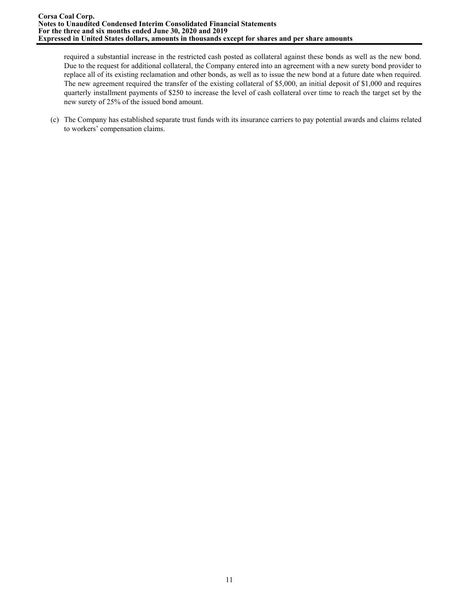required a substantial increase in the restricted cash posted as collateral against these bonds as well as the new bond. Due to the request for additional collateral, the Company entered into an agreement with a new surety bond provider to replace all of its existing reclamation and other bonds, as well as to issue the new bond at a future date when required. The new agreement required the transfer of the existing collateral of \$5,000, an initial deposit of \$1,000 and requires quarterly installment payments of \$250 to increase the level of cash collateral over time to reach the target set by the new surety of 25% of the issued bond amount.

(c) The Company has established separate trust funds with its insurance carriers to pay potential awards and claims related to workers' compensation claims.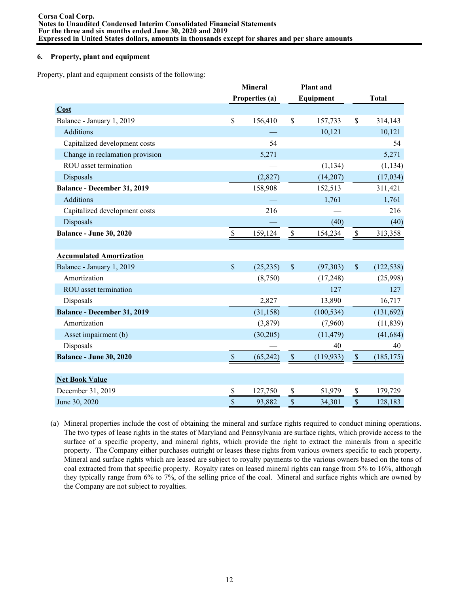## **6. Property, plant and equipment**

Property, plant and equipment consists of the following:

|                                    |               | <b>Mineral</b> |                        | <b>Plant</b> and |                           |              |
|------------------------------------|---------------|----------------|------------------------|------------------|---------------------------|--------------|
|                                    |               | Properties (a) |                        | Equipment        |                           | <b>Total</b> |
| Cost                               |               |                |                        |                  |                           |              |
| Balance - January 1, 2019          | \$            | 156,410        | \$                     | 157,733          | \$                        | 314,143      |
| <b>Additions</b>                   |               |                |                        | 10,121           |                           | 10,121       |
| Capitalized development costs      |               | 54             |                        |                  |                           | 54           |
| Change in reclamation provision    |               | 5,271          |                        |                  |                           | 5,271        |
| ROU asset termination              |               |                |                        | (1, 134)         |                           | (1, 134)     |
| Disposals                          |               | (2,827)        |                        | (14,207)         |                           | (17, 034)    |
| Balance - December 31, 2019        |               | 158,908        |                        | 152,513          |                           | 311,421      |
| Additions                          |               |                |                        | 1,761            |                           | 1,761        |
| Capitalized development costs      |               | 216            |                        |                  |                           | 216          |
| Disposals                          |               |                |                        | (40)             |                           | (40)         |
| <b>Balance - June 30, 2020</b>     | $\mathbb S$   | 159,124        | $\mathbb{S}$           | 154,234          | $\mathbb{S}$              | 313,358      |
|                                    |               |                |                        |                  |                           |              |
| <b>Accumulated Amortization</b>    |               |                |                        |                  |                           |              |
| Balance - January 1, 2019          | $\mathsf{\$}$ | (25, 235)      | $\mathcal{S}$          | (97, 303)        | $\boldsymbol{\mathsf{S}}$ | (122, 538)   |
| Amortization                       |               | (8,750)        |                        | (17, 248)        |                           | (25,998)     |
| ROU asset termination              |               |                |                        | 127              |                           | 127          |
| Disposals                          |               | 2,827          |                        | 13,890           |                           | 16,717       |
| <b>Balance - December 31, 2019</b> |               | (31, 158)      |                        | (100, 534)       |                           | (131,692)    |
| Amortization                       |               | (3,879)        |                        | (7,960)          |                           | (11, 839)    |
| Asset impairment (b)               |               | (30,205)       |                        | (11, 479)        |                           | (41, 684)    |
| Disposals                          |               |                |                        | 40               |                           | 40           |
| <b>Balance - June 30, 2020</b>     | $\mathcal{S}$ | (65, 242)      | $\mathcal{S}$          | (119, 933)       | $\mathbb{S}$              | (185, 175)   |
|                                    |               |                |                        |                  |                           |              |
| <b>Net Book Value</b>              |               |                |                        |                  |                           |              |
| December 31, 2019                  | \$            | 127,750        | \$                     | 51,979           | \$                        | 179,729      |
| June 30, 2020                      | $\frac{1}{s}$ | 93,882         | $\sqrt{\frac{2}{\pi}}$ | 34,301           | $\sqrt{\frac{2}{\pi}}$    | 128,183      |

(a) Mineral properties include the cost of obtaining the mineral and surface rights required to conduct mining operations. The two types of lease rights in the states of Maryland and Pennsylvania are surface rights, which provide access to the surface of a specific property, and mineral rights, which provide the right to extract the minerals from a specific property. The Company either purchases outright or leases these rights from various owners specific to each property. Mineral and surface rights which are leased are subject to royalty payments to the various owners based on the tons of coal extracted from that specific property. Royalty rates on leased mineral rights can range from 5% to 16%, although they typically range from 6% to 7%, of the selling price of the coal. Mineral and surface rights which are owned by the Company are not subject to royalties.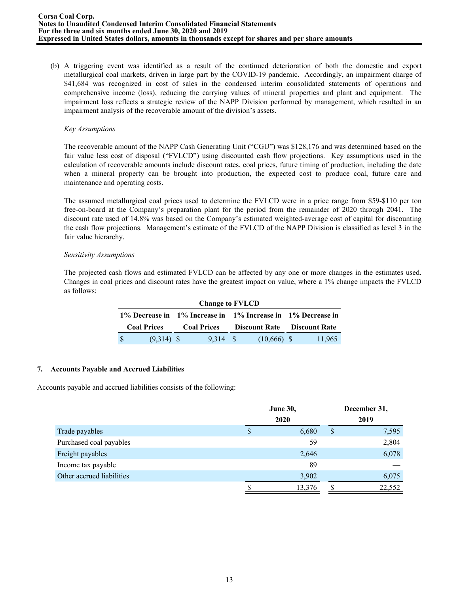(b) A triggering event was identified as a result of the continued deterioration of both the domestic and export metallurgical coal markets, driven in large part by the COVID-19 pandemic. Accordingly, an impairment charge of \$41,684 was recognized in cost of sales in the condensed interim consolidated statements of operations and comprehensive income (loss), reducing the carrying values of mineral properties and plant and equipment. The impairment loss reflects a strategic review of the NAPP Division performed by management, which resulted in an impairment analysis of the recoverable amount of the division's assets.

### *Key Assumptions*

The recoverable amount of the NAPP Cash Generating Unit ("CGU") was \$128,176 and was determined based on the fair value less cost of disposal ("FVLCD") using discounted cash flow projections. Key assumptions used in the calculation of recoverable amounts include discount rates, coal prices, future timing of production, including the date when a mineral property can be brought into production, the expected cost to produce coal, future care and maintenance and operating costs.

The assumed metallurgical coal prices used to determine the FVLCD were in a price range from \$59-\$110 per ton free-on-board at the Company's preparation plant for the period from the remainder of 2020 through 2041. The discount rate used of 14.8% was based on the Company's estimated weighted-average cost of capital for discounting the cash flow projections. Management's estimate of the FVLCD of the NAPP Division is classified as level 3 in the fair value hierarchy.

### *Sensitivity Assumptions*

The projected cash flows and estimated FVLCD can be affected by any one or more changes in the estimates used. Changes in coal prices and discount rates have the greatest impact on value, where a 1% change impacts the FVLCD as follows:

|                    |                                                             |              |  | <b>Change to FVLCD</b> |  |               |                                    |        |  |  |  |  |  |  |
|--------------------|-------------------------------------------------------------|--------------|--|------------------------|--|---------------|------------------------------------|--------|--|--|--|--|--|--|
|                    | 1% Decrease in 1% Increase in 1% Increase in 1% Decrease in |              |  |                        |  |               |                                    |        |  |  |  |  |  |  |
| <b>Coal Prices</b> |                                                             |              |  | <b>Coal Prices</b>     |  |               | <b>Discount Rate</b> Discount Rate |        |  |  |  |  |  |  |
|                    |                                                             | $(9,314)$ \$ |  | 9.314 S                |  | $(10,666)$ \$ |                                    | 11,965 |  |  |  |  |  |  |

## **7. Accounts Payable and Accrued Liabilities**

Accounts payable and accrued liabilities consists of the following:

|                           |   | <b>June 30,</b> |   | December 31, |
|---------------------------|---|-----------------|---|--------------|
|                           |   | 2020            |   | 2019         |
| Trade payables            | S | 6,680           | S | 7,595        |
| Purchased coal payables   |   | 59              |   | 2,804        |
| Freight payables          |   | 2,646           |   | 6,078        |
| Income tax payable        |   | 89              |   |              |
| Other accrued liabilities |   | 3,902           |   | 6,075        |
|                           | J | 13,376          |   | 22,552       |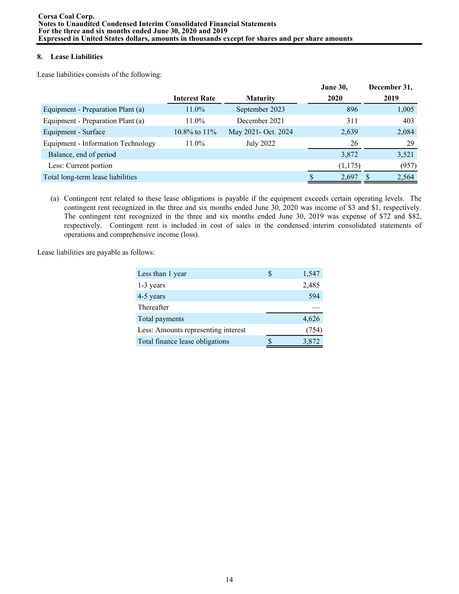# **8. Lease Liabilities**

Lease liabilities consists of the following:

|                                    |                      |                     | <b>June 30,</b> | December 31, |       |
|------------------------------------|----------------------|---------------------|-----------------|--------------|-------|
|                                    | <b>Interest Rate</b> | <b>Maturity</b>     | 2020            | 2019         |       |
| Equipment - Preparation Plant (a)  | $11.0\%$             | September 2023      | 896             |              | 1,005 |
| Equipment - Preparation Plant (a)  | $11.0\%$             | December 2021       | 311             |              | 403   |
| Equipment - Surface                | $10.8\%$ to $11\%$   | May 2021- Oct. 2024 | 2,639           |              | 2,084 |
| Equipment - Information Technology | 11.0%                | <b>July 2022</b>    | 26              |              | 29    |
| Balance, end of period             |                      |                     | 3,872           |              | 3,521 |
| Less: Current portion              |                      |                     | (1,175)         |              | (957) |
| Total long-term lease liabilities  |                      |                     | 2,697           |              | 2,564 |

(a) Contingent rent related to these lease obligations is payable if the equipment exceeds certain operating levels. The contingent rent recognized in the three and six months ended June 30, 2020 was income of \$3 and \$1, respectively. The contingent rent recognized in the three and six months ended June 30, 2019 was expense of \$72 and \$82, respectively. Contingent rent is included in cost of sales in the condensed interim consolidated statements of operations and comprehensive income (loss).

Lease liabilities are payable as follows:

| Less than 1 year                    | 1,547 |
|-------------------------------------|-------|
| 1-3 years                           | 2,485 |
| 4-5 years                           | 594   |
| Thereafter                          |       |
| Total payments                      | 4,626 |
| Less: Amounts representing interest | (754) |
| Total finance lease obligations     | 3,872 |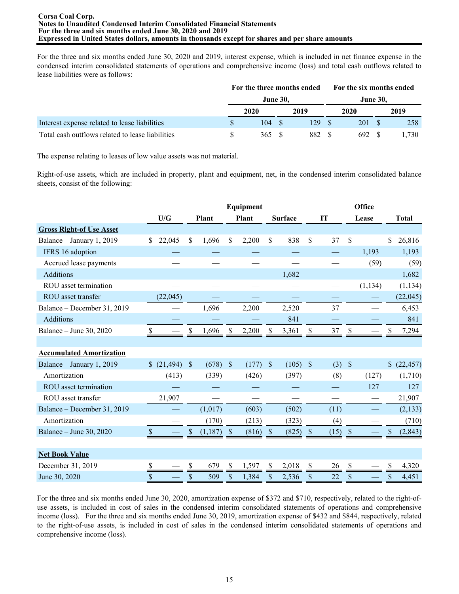For the three and six months ended June 30, 2020 and 2019, interest expense, which is included in net finance expense in the condensed interim consolidated statements of operations and comprehensive income (loss) and total cash outflows related to lease liabilities were as follows:

|                                                  |      |                 | For the three months ended |  | For the six months ended |  |      |  |  |
|--------------------------------------------------|------|-----------------|----------------------------|--|--------------------------|--|------|--|--|
|                                                  |      | <b>June 30,</b> |                            |  | <b>June 30,</b>          |  |      |  |  |
|                                                  | 2020 |                 | 2019                       |  | 2020                     |  | 2019 |  |  |
| Interest expense related to lease liabilities    | 104  |                 | 129.                       |  | 201                      |  | 258  |  |  |
| Total cash outflows related to lease liabilities | 365  |                 | 882                        |  | 692                      |  | .730 |  |  |

The expense relating to leases of low value assets was not material.

Right-of-use assets, which are included in property, plant and equipment, net, in the condensed interim consolidated balance sheets, consist of the following:

|                                 |              |               |         |                           | Equipment                |              |                |               |      |               | Office   |                           |              |
|---------------------------------|--------------|---------------|---------|---------------------------|--------------------------|--------------|----------------|---------------|------|---------------|----------|---------------------------|--------------|
|                                 | U/G          |               | Plant   |                           | Plant                    |              | <b>Surface</b> | IT            |      | Lease         |          |                           | <b>Total</b> |
| <b>Gross Right-of Use Asset</b> |              |               |         |                           |                          |              |                |               |      |               |          |                           |              |
| Balance - January 1, 2019       | 22,045<br>\$ | $\mathsf{\$}$ | 1,696   | \$                        | 2,200                    | \$           | 838            | \$            | 37   | \$            |          | \$                        | 26,816       |
| IFRS 16 adoption                |              |               |         |                           |                          |              |                |               |      |               | 1,193    |                           | 1,193        |
| Accrued lease payments          |              |               |         |                           |                          |              |                |               |      |               | (59)     |                           | (59)         |
| <b>Additions</b>                |              |               |         |                           |                          |              | 1,682          |               |      |               |          |                           | 1,682        |
| ROU asset termination           |              |               |         |                           |                          |              |                |               |      |               | (1, 134) |                           | (1, 134)     |
| ROU asset transfer              | (22,045)     |               |         |                           |                          |              |                |               |      |               |          |                           | (22, 045)    |
| Balance - December 31, 2019     |              |               | 1,696   |                           | 2,200                    |              | 2,520          |               | 37   |               |          |                           | 6,453        |
| <b>Additions</b>                |              |               |         |                           |                          |              | 841            |               |      |               |          |                           | 841          |
| Balance - June 30, 2020         | \$           |               | 1,696   | S                         | 2,200                    | \$           | 3,361          | S             | 37   | S             |          | S                         | 7,294        |
|                                 |              |               |         |                           |                          |              |                |               |      |               |          |                           |              |
| <b>Accumulated Amortization</b> |              |               |         |                           |                          |              |                |               |      |               |          |                           |              |
| Balance - January 1, 2019       | (21, 494)    | $\mathbb{S}$  | (678)   | $\mathcal{S}$             | (177)                    | \$           | (105)          | $\mathcal{S}$ | (3)  | $\mathcal{S}$ |          | $\boldsymbol{\mathsf{S}}$ | (22, 457)    |
| Amortization                    | (413)        |               | (339)   |                           | (426)                    |              | (397)          |               | (8)  |               | (127)    |                           | (1,710)      |
| ROU asset termination           |              |               |         |                           |                          |              |                |               |      |               | 127      |                           | 127          |
| ROU asset transfer              | 21,907       |               |         |                           | $\overline{\phantom{0}}$ |              |                |               |      |               |          |                           | 21,907       |
| Balance - December 31, 2019     |              |               | (1,017) |                           | (603)                    |              | (502)          |               | (11) |               |          |                           | (2, 133)     |
| Amortization                    |              |               | (170)   |                           | (213)                    |              | (323)          |               | (4)  |               |          |                           | (710)        |
| Balance - June 30, 2020         | \$           |               | (1,187) | $\boldsymbol{\mathsf{S}}$ | (816)                    | <sup>S</sup> | (825)          | <sup>S</sup>  | (15) |               |          | \$                        | (2, 843)     |
|                                 |              |               |         |                           |                          |              |                |               |      |               |          |                           |              |
| <b>Net Book Value</b>           |              |               |         |                           |                          |              |                |               |      |               |          |                           |              |
| December 31, 2019               |              |               | 679     | \$                        | 1,597                    | S            | 2,018          | S             | 26   |               |          |                           | 4,320        |
| June 30, 2020                   | \$           | \$            | 509     | \$                        | 1,384                    | \$           | 2,536          | \$            | 22   | \$            |          | \$                        | 4,451        |

For the three and six months ended June 30, 2020, amortization expense of \$372 and \$710, respectively, related to the right-ofuse assets, is included in cost of sales in the condensed interim consolidated statements of operations and comprehensive income (loss). For the three and six months ended June 30, 2019, amortization expense of \$432 and \$844, respectively, related to the right-of-use assets, is included in cost of sales in the condensed interim consolidated statements of operations and comprehensive income (loss).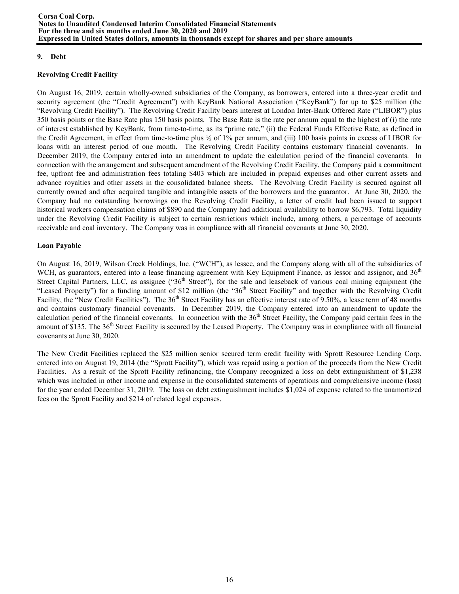## **9. Debt**

## **Revolving Credit Facility**

On August 16, 2019, certain wholly-owned subsidiaries of the Company, as borrowers, entered into a three-year credit and security agreement (the "Credit Agreement") with KeyBank National Association ("KeyBank") for up to \$25 million (the "Revolving Credit Facility"). The Revolving Credit Facility bears interest at London Inter-Bank Offered Rate ("LIBOR") plus 350 basis points or the Base Rate plus 150 basis points. The Base Rate is the rate per annum equal to the highest of (i) the rate of interest established by KeyBank, from time-to-time, as its "prime rate," (ii) the Federal Funds Effective Rate, as defined in the Credit Agreement, in effect from time-to-time plus ½ of 1% per annum, and (iii) 100 basis points in excess of LIBOR for loans with an interest period of one month. The Revolving Credit Facility contains customary financial covenants. In December 2019, the Company entered into an amendment to update the calculation period of the financial covenants. In connection with the arrangement and subsequent amendment of the Revolving Credit Facility, the Company paid a commitment fee, upfront fee and administration fees totaling \$403 which are included in prepaid expenses and other current assets and advance royalties and other assets in the consolidated balance sheets. The Revolving Credit Facility is secured against all currently owned and after acquired tangible and intangible assets of the borrowers and the guarantor. At June 30, 2020, the Company had no outstanding borrowings on the Revolving Credit Facility, a letter of credit had been issued to support historical workers compensation claims of \$890 and the Company had additional availability to borrow \$6,793. Total liquidity under the Revolving Credit Facility is subject to certain restrictions which include, among others, a percentage of accounts receivable and coal inventory. The Company was in compliance with all financial covenants at June 30, 2020.

# **Loan Payable**

On August 16, 2019, Wilson Creek Holdings, Inc. ("WCH"), as lessee, and the Company along with all of the subsidiaries of WCH, as guarantors, entered into a lease financing agreement with Key Equipment Finance, as lessor and assignor, and 36<sup>th</sup> Street Capital Partners, LLC, as assignee ("36<sup>th</sup> Street"), for the sale and leaseback of various coal mining equipment (the "Leased Property") for a funding amount of \$12 million (the "36<sup>th</sup> Street Facility" and together with the Revolving Credit Facility, the "New Credit Facilities"). The  $36<sup>th</sup>$  Street Facility has an effective interest rate of 9.50%, a lease term of 48 months and contains customary financial covenants. In December 2019, the Company entered into an amendment to update the calculation period of the financial covenants. In connection with the 36<sup>th</sup> Street Facility, the Company paid certain fees in the amount of \$135. The  $36<sup>th</sup>$  Street Facility is secured by the Leased Property. The Company was in compliance with all financial covenants at June 30, 2020.

The New Credit Facilities replaced the \$25 million senior secured term credit facility with Sprott Resource Lending Corp. entered into on August 19, 2014 (the "Sprott Facility"), which was repaid using a portion of the proceeds from the New Credit Facilities. As a result of the Sprott Facility refinancing, the Company recognized a loss on debt extinguishment of \$1,238 which was included in other income and expense in the consolidated statements of operations and comprehensive income (loss) for the year ended December 31, 2019. The loss on debt extinguishment includes \$1,024 of expense related to the unamortized fees on the Sprott Facility and \$214 of related legal expenses.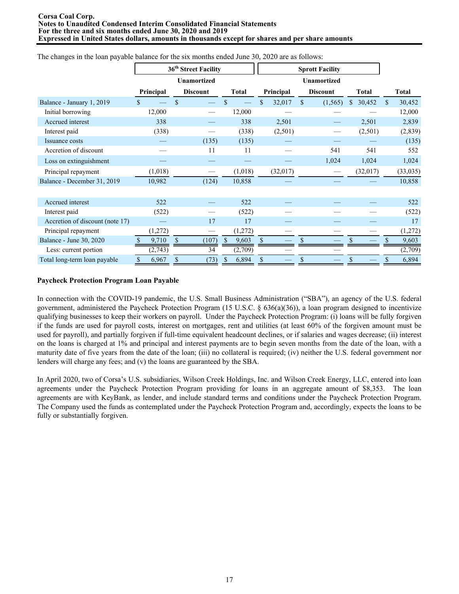#### **Corsa Coal Corp. Notes to Unaudited Condensed Interim Consolidated Financial Statements For the three and six months ended June 30, 2020 and 2019 Expressed in United States dollars, amounts in thousands except for shares and per share amounts**

| <u>enalyse in the loan payable outaned lot the sin individue chase <math>\epsilon</math> and <math>\epsilon</math></u> |           | 36 <sup>th</sup> Street Facility |     |              |              | <b>Sprott Facility</b> |              |              |              |
|------------------------------------------------------------------------------------------------------------------------|-----------|----------------------------------|-----|--------------|--------------|------------------------|--------------|--------------|--------------|
|                                                                                                                        |           | <b>Unamortized</b>               |     |              |              | <b>Unamortized</b>     |              |              |              |
|                                                                                                                        | Principal | <b>Discount</b>                  |     | <b>Total</b> | Principal    | <b>Discount</b>        |              | <b>Total</b> | Total        |
| Balance - January 1, 2019                                                                                              |           | \$                               |     |              | \$<br>32,017 | \$<br>(1, 565)         | $\mathbb{S}$ | 30,452       | \$<br>30,452 |
| Initial borrowing                                                                                                      | 12,000    |                                  |     | 12,000       |              |                        |              |              | 12,000       |
| Accrued interest                                                                                                       | 338       |                                  |     | 338          | 2,501        |                        |              | 2,501        | 2,839        |
| Interest paid                                                                                                          | (338)     |                                  |     | (338)        | (2,501)      |                        |              | (2,501)      | (2,839)      |
| Issuance costs                                                                                                         |           | (135)                            |     | (135)        |              |                        |              |              | (135)        |
| Accretion of discount                                                                                                  |           | 11                               |     | 11           |              | 541                    |              | 541          | 552          |
| Loss on extinguishment                                                                                                 |           |                                  |     |              |              | 1,024                  |              | 1,024        | 1,024        |
| Principal repayment                                                                                                    | (1,018)   |                                  |     | (1,018)      | (32,017)     |                        |              | (32,017)     | (33,035)     |
| Balance - December 31, 2019                                                                                            | 10,982    | (124)                            |     | 10,858       |              |                        |              |              | 10,858       |
|                                                                                                                        |           |                                  |     |              |              |                        |              |              |              |
| Accrued interest                                                                                                       | 522       |                                  |     | 522          |              |                        |              |              | 522          |
| Interest paid                                                                                                          | (522)     |                                  |     | (522)        |              |                        |              |              | (522)        |
| Accretion of discount (note 17)                                                                                        |           | 17                               |     | 17           |              |                        |              |              | 17           |
| Principal repayment                                                                                                    | (1,272)   |                                  |     | (1,272)      |              |                        |              |              | (1,272)      |
| Balance - June 30, 2020                                                                                                | 9,710     | (107)                            | -SS | 9,603        |              |                        |              |              | 9,603        |
| Less: current portion                                                                                                  | (2,743)   | 34                               |     | (2,709)      |              |                        |              |              | (2,709)      |
| Total long-term loan payable                                                                                           | 6,967     | (73)                             |     | 6,894        |              |                        |              |              | 6,894        |

The changes in the loan payable balance for the six months ended June 30, 2020 are as follows:

# **Paycheck Protection Program Loan Payable**

In connection with the COVID-19 pandemic, the U.S. Small Business Administration ("SBA"), an agency of the U.S. federal government, administered the Paycheck Protection Program (15 U.S.C. § 636(a)(36)), a loan program designed to incentivize qualifying businesses to keep their workers on payroll. Under the Paycheck Protection Program: (i) loans will be fully forgiven if the funds are used for payroll costs, interest on mortgages, rent and utilities (at least 60% of the forgiven amount must be used for payroll), and partially forgiven if full-time equivalent headcount declines, or if salaries and wages decrease; (ii) interest on the loans is charged at 1% and principal and interest payments are to begin seven months from the date of the loan, with a maturity date of five years from the date of the loan; (iii) no collateral is required; (iv) neither the U.S. federal government nor lenders will charge any fees; and (v) the loans are guaranteed by the SBA.

In April 2020, two of Corsa's U.S. subsidiaries, Wilson Creek Holdings, Inc. and Wilson Creek Energy, LLC, entered into loan agreements under the Paycheck Protection Program providing for loans in an aggregate amount of \$8,353. The loan agreements are with KeyBank, as lender, and include standard terms and conditions under the Paycheck Protection Program. The Company used the funds as contemplated under the Paycheck Protection Program and, accordingly, expects the loans to be fully or substantially forgiven.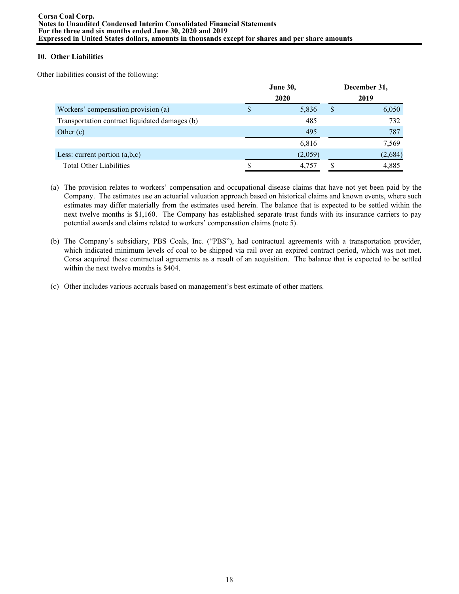## **10. Other Liabilities**

Other liabilities consist of the following:

|                                                |   | June 30,<br>2020 |   | December 31,<br>2019 |
|------------------------------------------------|---|------------------|---|----------------------|
| Workers' compensation provision (a)            | Φ | 5,836            | S | 6,050                |
| Transportation contract liquidated damages (b) |   | 485              |   | 732                  |
| Other $(c)$                                    |   | 495              |   | 787                  |
|                                                |   | 6,816            |   | 7,569                |
| Less: current portion $(a,b,c)$                |   | (2,059)          |   | (2, 684)             |
| <b>Total Other Liabilities</b>                 |   | 4,757            |   | 4,885                |

- (a) The provision relates to workers' compensation and occupational disease claims that have not yet been paid by the Company. The estimates use an actuarial valuation approach based on historical claims and known events, where such estimates may differ materially from the estimates used herein. The balance that is expected to be settled within the next twelve months is \$1,160. The Company has established separate trust funds with its insurance carriers to pay potential awards and claims related to workers' compensation claims (note 5).
- (b) The Company's subsidiary, PBS Coals, Inc. ("PBS"), had contractual agreements with a transportation provider, which indicated minimum levels of coal to be shipped via rail over an expired contract period, which was not met. Corsa acquired these contractual agreements as a result of an acquisition. The balance that is expected to be settled within the next twelve months is \$404.
- (c) Other includes various accruals based on management's best estimate of other matters.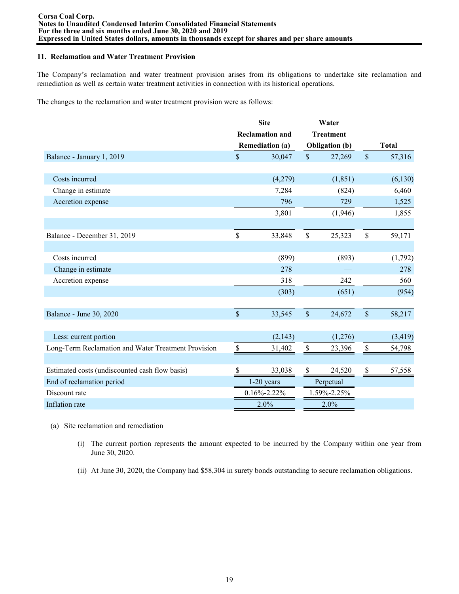### **11. Reclamation and Water Treatment Provision**

The Company's reclamation and water treatment provision arises from its obligations to undertake site reclamation and remediation as well as certain water treatment activities in connection with its historical operations.

The changes to the reclamation and water treatment provision were as follows:

|                                                     |                    | <b>Site</b>            |               | Water                 |               |              |
|-----------------------------------------------------|--------------------|------------------------|---------------|-----------------------|---------------|--------------|
|                                                     |                    | <b>Reclamation and</b> |               | <b>Treatment</b>      |               |              |
|                                                     |                    | <b>Remediation (a)</b> |               | <b>Obligation</b> (b) |               | <b>Total</b> |
| Balance - January 1, 2019                           | $\mathsf{\$}$      | 30,047                 | $\mathsf{\$}$ | 27,269                | $\mathsf{\$}$ | 57,316       |
|                                                     |                    |                        |               |                       |               |              |
| Costs incurred                                      |                    | (4,279)                |               | (1, 851)              |               | (6, 130)     |
| Change in estimate                                  |                    | 7,284                  |               | (824)                 |               | 6,460        |
| Accretion expense                                   |                    | 796                    |               | 729                   |               | 1,525        |
|                                                     |                    | 3,801                  |               | (1,946)               |               | 1,855        |
|                                                     |                    |                        |               |                       |               |              |
| Balance - December 31, 2019                         | \$                 | 33,848                 | $\mathbb S$   | 25,323                | $\mathbb S$   | 59,171       |
|                                                     |                    |                        |               |                       |               |              |
| Costs incurred                                      |                    | (899)                  |               | (893)                 |               | (1,792)      |
| Change in estimate                                  |                    | 278                    |               |                       |               | 278          |
| Accretion expense                                   |                    | 318                    |               | 242                   |               | 560          |
|                                                     |                    | (303)                  |               | (651)                 |               | (954)        |
|                                                     |                    |                        |               |                       |               |              |
| Balance - June 30, 2020                             | $\mathbf{\hat{S}}$ | 33,545                 | $\mathsf{\$}$ | 24,672                | $\mathbb{S}$  | 58,217       |
|                                                     |                    |                        |               |                       |               |              |
| Less: current portion                               |                    | (2, 143)               |               | (1,276)               |               | (3, 419)     |
| Long-Term Reclamation and Water Treatment Provision | \$                 | 31,402                 | \$            | 23,396                | $\$$          | 54,798       |
|                                                     |                    |                        |               |                       |               |              |
| Estimated costs (undiscounted cash flow basis)      | S                  | 33,038                 | \$            | 24,520                | \$            | 57,558       |
| End of reclamation period                           |                    | $1-20$ years           |               | Perpetual             |               |              |
| Discount rate                                       | $0.16\% - 2.22\%$  |                        |               | 1.59%-2.25%           |               |              |
| Inflation rate                                      |                    | 2.0%                   |               | 2.0%                  |               |              |

- (a) Site reclamation and remediation
	- (i) The current portion represents the amount expected to be incurred by the Company within one year from June 30, 2020.
	- (ii) At June 30, 2020, the Company had \$58,304 in surety bonds outstanding to secure reclamation obligations.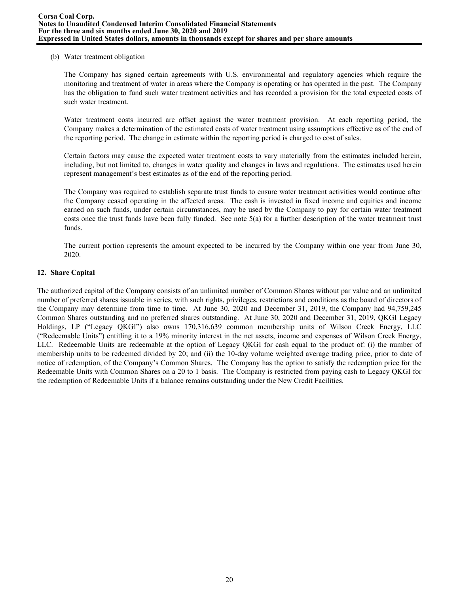### (b) Water treatment obligation

The Company has signed certain agreements with U.S. environmental and regulatory agencies which require the monitoring and treatment of water in areas where the Company is operating or has operated in the past. The Company has the obligation to fund such water treatment activities and has recorded a provision for the total expected costs of such water treatment.

Water treatment costs incurred are offset against the water treatment provision. At each reporting period, the Company makes a determination of the estimated costs of water treatment using assumptions effective as of the end of the reporting period. The change in estimate within the reporting period is charged to cost of sales.

Certain factors may cause the expected water treatment costs to vary materially from the estimates included herein, including, but not limited to, changes in water quality and changes in laws and regulations. The estimates used herein represent management's best estimates as of the end of the reporting period.

The Company was required to establish separate trust funds to ensure water treatment activities would continue after the Company ceased operating in the affected areas. The cash is invested in fixed income and equities and income earned on such funds, under certain circumstances, may be used by the Company to pay for certain water treatment costs once the trust funds have been fully funded. See note  $5(a)$  for a further description of the water treatment trust funds.

The current portion represents the amount expected to be incurred by the Company within one year from June 30, 2020.

## **12. Share Capital**

The authorized capital of the Company consists of an unlimited number of Common Shares without par value and an unlimited number of preferred shares issuable in series, with such rights, privileges, restrictions and conditions as the board of directors of the Company may determine from time to time. At June 30, 2020 and December 31, 2019, the Company had 94,759,245 Common Shares outstanding and no preferred shares outstanding. At June 30, 2020 and December 31, 2019, QKGI Legacy Holdings, LP ("Legacy QKGI") also owns 170,316,639 common membership units of Wilson Creek Energy, LLC ("Redeemable Units") entitling it to a 19% minority interest in the net assets, income and expenses of Wilson Creek Energy, LLC. Redeemable Units are redeemable at the option of Legacy QKGI for cash equal to the product of: (i) the number of membership units to be redeemed divided by 20; and (ii) the 10-day volume weighted average trading price, prior to date of notice of redemption, of the Company's Common Shares. The Company has the option to satisfy the redemption price for the Redeemable Units with Common Shares on a 20 to 1 basis. The Company is restricted from paying cash to Legacy QKGI for the redemption of Redeemable Units if a balance remains outstanding under the New Credit Facilities.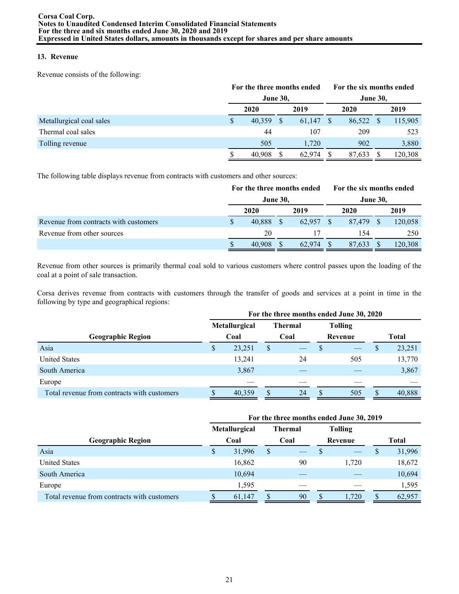# **13. Revenue**

Revenue consists of the following:

|                          |   | For the three months ended |  |           | For the six months ended |        |      |         |  |  |
|--------------------------|---|----------------------------|--|-----------|--------------------------|--------|------|---------|--|--|
|                          |   | <b>June 30,</b>            |  |           | <b>June 30,</b>          |        |      |         |  |  |
|                          |   | 2020                       |  | 2019      |                          | 2020   | 2019 |         |  |  |
| Metallurgical coal sales | S | 40,359                     |  | 61,147 \$ |                          | 86,522 | -S   | 115,905 |  |  |
| Thermal coal sales       |   | 44                         |  | 107       |                          | 209    |      | 523     |  |  |
| Tolling revenue          |   | 505                        |  | 1.720     |                          | 902    |      | 3,880   |  |  |
|                          |   | 40.908                     |  | 62.974    |                          | 87,633 |      | 120,308 |  |  |

The following table displays revenue from contracts with customers and other sources:

|                                       | For the three months ended |        |  | For the six months ended |  |         |  |  |
|---------------------------------------|----------------------------|--------|--|--------------------------|--|---------|--|--|
|                                       | <b>June 30,</b>            |        |  | <b>June 30,</b>          |  |         |  |  |
|                                       | 2020                       | 2019   |  | 2020                     |  | 2019    |  |  |
| Revenue from contracts with customers | 40.888                     | 62.957 |  | 87.479                   |  | 120,058 |  |  |
| Revenue from other sources            | 20                         | 17     |  | 154                      |  | 250     |  |  |
|                                       | 40,908                     | 62.974 |  | 87.633                   |  | 120,308 |  |  |

Revenue from other sources is primarily thermal coal sold to various customers where control passes upon the loading of the coal at a point of sale transaction.

Corsa derives revenue from contracts with customers through the transfer of goods and services at a point in time in the following by type and geographical regions:

|                                             |   |               | For the three months ended June 30, 2020 |                |          |                |   |              |
|---------------------------------------------|---|---------------|------------------------------------------|----------------|----------|----------------|---|--------------|
|                                             |   | Metallurgical |                                          | <b>Thermal</b> |          | <b>Tolling</b> |   |              |
| <b>Geographic Region</b>                    |   | Coal          |                                          | Coal           |          | Revenue        |   | <b>Total</b> |
| Asia                                        | S | 23,251        | S                                        |                | S        |                | S | 23,251       |
| <b>United States</b>                        |   | 13,241        |                                          | 24             |          | 505            |   | 13,770       |
| South America                               |   | 3,867         |                                          |                |          |                |   | 3,867        |
| Europe                                      |   |               |                                          |                |          |                |   |              |
| Total revenue from contracts with customers |   | 40,359        |                                          | 24             | <b>S</b> | 505            |   | 40,888       |

|                                             | For the three months ended June 30, 2019 |                      |   |                |    |                |               |        |  |  |  |  |  |
|---------------------------------------------|------------------------------------------|----------------------|---|----------------|----|----------------|---------------|--------|--|--|--|--|--|
|                                             |                                          | <b>Metallurgical</b> |   | <b>Thermal</b> |    | <b>Tolling</b> |               |        |  |  |  |  |  |
| <b>Geographic Region</b>                    | Coal                                     |                      |   | Coal           |    | Revenue        |               | Total  |  |  |  |  |  |
| Asia                                        | S.                                       | 31,996               | S |                |    |                | $\mathcal{P}$ | 31,996 |  |  |  |  |  |
| <b>United States</b>                        |                                          | 16,862               |   | 90             |    | 1,720          |               | 18,672 |  |  |  |  |  |
| South America                               |                                          | 10,694               |   |                |    |                |               | 10,694 |  |  |  |  |  |
| Europe                                      |                                          | 1,595                |   |                |    |                |               | 1,595  |  |  |  |  |  |
| Total revenue from contracts with customers |                                          | 61,147               |   | 90             | \$ | 1,720          |               | 62,957 |  |  |  |  |  |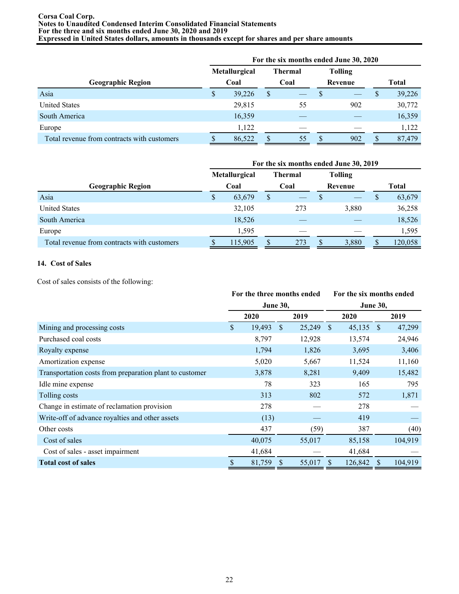#### **Corsa Coal Corp. Notes to Unaudited Condensed Interim Consolidated Financial Statements For the three and six months ended June 30, 2020 and 2019 Expressed in United States dollars, amounts in thousands except for shares and per share amounts**

|                                             | For the six months ended June 30, 2020 |               |    |         |   |                |              |        |  |  |  |
|---------------------------------------------|----------------------------------------|---------------|----|---------|---|----------------|--------------|--------|--|--|--|
|                                             |                                        | Metallurgical |    | Thermal |   | <b>Tolling</b> |              |        |  |  |  |
| <b>Geographic Region</b>                    | Coal                                   |               |    | Coal    |   | Revenue        | <b>Total</b> |        |  |  |  |
| Asia                                        | \$                                     | 39,226        | \$ |         | D |                | $\mathbf{s}$ | 39,226 |  |  |  |
| <b>United States</b>                        |                                        | 29,815        |    | 55      |   | 902            |              | 30,772 |  |  |  |
| South America                               |                                        | 16,359        |    |         |   |                |              | 16,359 |  |  |  |
| Europe                                      |                                        | 1,122         |    |         |   |                |              | 1,122  |  |  |  |
| Total revenue from contracts with customers |                                        | 86,522        |    | 55      |   | 902            |              | 87,479 |  |  |  |

|                                             | For the six months ended June 30, 2019 |               |      |                |         |                |    |         |  |  |  |  |  |
|---------------------------------------------|----------------------------------------|---------------|------|----------------|---------|----------------|----|---------|--|--|--|--|--|
|                                             |                                        | Metallurgical |      | <b>Thermal</b> |         | <b>Tolling</b> |    |         |  |  |  |  |  |
| <b>Geographic Region</b>                    | Coal                                   |               | Coal |                | Revenue |                |    | Total   |  |  |  |  |  |
| Asia                                        | \$                                     | 63,679        | S    |                |         |                | S. | 63,679  |  |  |  |  |  |
| <b>United States</b>                        |                                        | 32,105        |      | 273            |         | 3,880          |    | 36,258  |  |  |  |  |  |
| South America                               |                                        | 18,526        |      |                |         |                |    | 18,526  |  |  |  |  |  |
| Europe                                      |                                        | 1,595         |      |                |         |                |    | 1,595   |  |  |  |  |  |
| Total revenue from contracts with customers |                                        | 115,905       |      | 273            |         | 3,880          | \$ | 120,058 |  |  |  |  |  |

# **14. Cost of Sales**

Cost of sales consists of the following:

|                                                         | For the three months ended |                 |              |        |                 | For the six months ended |   |         |  |  |
|---------------------------------------------------------|----------------------------|-----------------|--------------|--------|-----------------|--------------------------|---|---------|--|--|
|                                                         |                            | <b>June 30,</b> |              |        | <b>June 30,</b> |                          |   |         |  |  |
|                                                         |                            | 2020            |              | 2019   |                 | 2020                     |   | 2019    |  |  |
| Mining and processing costs                             | \$                         | 19,493          | <sup>S</sup> | 25,249 | - \$            | $45,135$ \$              |   | 47,299  |  |  |
| Purchased coal costs                                    |                            | 8,797           |              | 12,928 |                 | 13,574                   |   | 24,946  |  |  |
| Royalty expense                                         |                            | 1,794           |              | 1,826  |                 | 3,695                    |   | 3,406   |  |  |
| Amortization expense                                    |                            | 5,020           |              | 5,667  |                 | 11,524                   |   | 11,160  |  |  |
| Transportation costs from preparation plant to customer |                            | 3,878           |              | 8,281  |                 | 9,409                    |   | 15,482  |  |  |
| Idle mine expense                                       |                            | 78              |              | 323    |                 | 165                      |   | 795     |  |  |
| Tolling costs                                           |                            | 313             |              | 802    |                 | 572                      |   | 1,871   |  |  |
| Change in estimate of reclamation provision             |                            | 278             |              |        |                 | 278                      |   |         |  |  |
| Write-off of advance royalties and other assets         |                            | (13)            |              |        |                 | 419                      |   |         |  |  |
| Other costs                                             |                            | 437             |              | (59)   |                 | 387                      |   | (40)    |  |  |
| Cost of sales                                           |                            | 40,075          |              | 55,017 |                 | 85,158                   |   | 104,919 |  |  |
| Cost of sales - asset impairment                        |                            | 41,684          |              |        |                 | 41,684                   |   |         |  |  |
| <b>Total cost of sales</b>                              | \$                         | 81,759          | S            | 55,017 |                 | 126,842                  | S | 104,919 |  |  |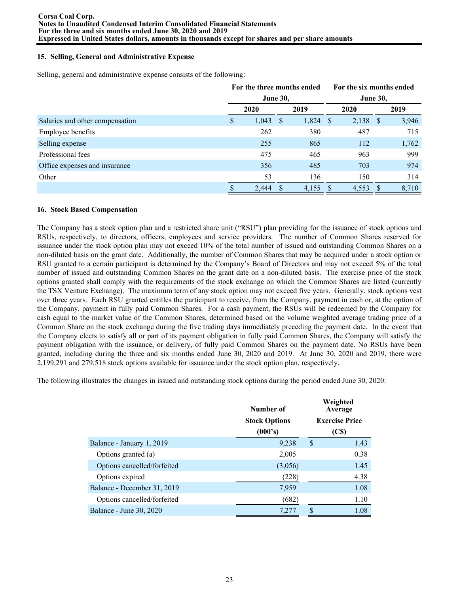## **15. Selling, General and Administrative Expense**

Selling, general and administrative expense consists of the following:

|                                 | For the three months ended |                 |              |            |  | For the six months ended |  |       |  |
|---------------------------------|----------------------------|-----------------|--------------|------------|--|--------------------------|--|-------|--|
|                                 |                            | <b>June 30,</b> |              |            |  | <b>June 30,</b>          |  |       |  |
|                                 |                            | 2020            |              | 2019       |  | 2020                     |  | 2019  |  |
| Salaries and other compensation | S                          | 1,043           | <sup>S</sup> | $1,824$ \$ |  | $2,138$ \$               |  | 3,946 |  |
| Employee benefits               |                            | 262             |              | 380        |  | 487                      |  | 715   |  |
| Selling expense                 |                            | 255             |              | 865        |  | 112                      |  | 1,762 |  |
| Professional fees               |                            | 475             |              | 465        |  | 963                      |  | 999   |  |
| Office expenses and insurance   |                            | 356             |              | 485        |  | 703                      |  | 974   |  |
| Other                           |                            | 53              |              | 136        |  | 150                      |  | 314   |  |
|                                 |                            | 2,444           |              | 4,155      |  | 4,553                    |  | 8,710 |  |

### **16. Stock Based Compensation**

The Company has a stock option plan and a restricted share unit ("RSU") plan providing for the issuance of stock options and RSUs, respectively, to directors, officers, employees and service providers. The number of Common Shares reserved for issuance under the stock option plan may not exceed 10% of the total number of issued and outstanding Common Shares on a non-diluted basis on the grant date. Additionally, the number of Common Shares that may be acquired under a stock option or RSU granted to a certain participant is determined by the Company's Board of Directors and may not exceed 5% of the total number of issued and outstanding Common Shares on the grant date on a non-diluted basis. The exercise price of the stock options granted shall comply with the requirements of the stock exchange on which the Common Shares are listed (currently the TSX Venture Exchange). The maximum term of any stock option may not exceed five years. Generally, stock options vest over three years. Each RSU granted entitles the participant to receive, from the Company, payment in cash or, at the option of the Company, payment in fully paid Common Shares. For a cash payment, the RSUs will be redeemed by the Company for cash equal to the market value of the Common Shares, determined based on the volume weighted average trading price of a Common Share on the stock exchange during the five trading days immediately preceding the payment date. In the event that the Company elects to satisfy all or part of its payment obligation in fully paid Common Shares, the Company will satisfy the payment obligation with the issuance, or delivery, of fully paid Common Shares on the payment date. No RSUs have been granted, including during the three and six months ended June 30, 2020 and 2019. At June 30, 2020 and 2019, there were 2,199,291 and 279,518 stock options available for issuance under the stock option plan, respectively.

The following illustrates the changes in issued and outstanding stock options during the period ended June 30, 2020:

|                             | Number of            | Weighted<br>Average   |
|-----------------------------|----------------------|-----------------------|
|                             | <b>Stock Options</b> | <b>Exercise Price</b> |
|                             | (000's)              | (C\$)                 |
| Balance - January 1, 2019   | 9,238                | 1.43<br>S             |
| Options granted (a)         | 2,005                | 0.38                  |
| Options cancelled/forfeited | (3,056)              | 1.45                  |
| Options expired             | (228)                | 4.38                  |
| Balance - December 31, 2019 | 7,959                | 1.08                  |
| Options cancelled/forfeited | (682)                | 1.10                  |
| Balance - June 30, 2020     | 7,277                | 1.08                  |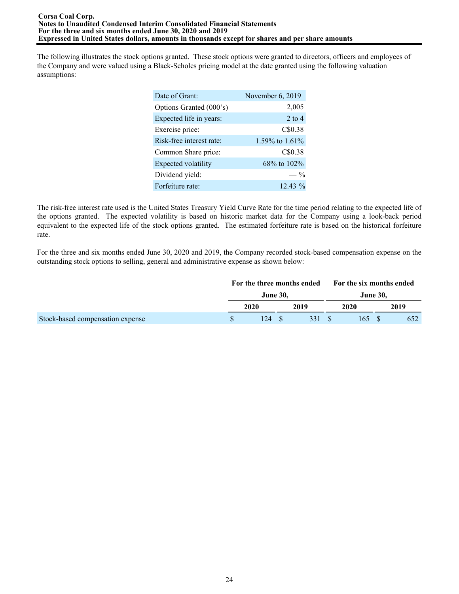The following illustrates the stock options granted. These stock options were granted to directors, officers and employees of the Company and were valued using a Black-Scholes pricing model at the date granted using the following valuation assumptions:

| Date of Grant:           | November 6, 2019  |
|--------------------------|-------------------|
| Options Granted (000's)  | 2,005             |
| Expected life in years:  | $2$ to $4$        |
| Exercise price:          | C\$0.38           |
| Risk-free interest rate: | 1.59% to $1.61\%$ |
| Common Share price:      | C\$0.38           |
| Expected volatility      | 68% to 102%       |
| Dividend yield:          | $\frac{0}{0}$     |
| Forfeiture rate:         | $12.43\%$         |

The risk-free interest rate used is the United States Treasury Yield Curve Rate for the time period relating to the expected life of the options granted. The expected volatility is based on historic market data for the Company using a look-back period equivalent to the expected life of the stock options granted. The estimated forfeiture rate is based on the historical forfeiture rate.

For the three and six months ended June 30, 2020 and 2019, the Company recorded stock-based compensation expense on the outstanding stock options to selling, general and administrative expense as shown below:

|                                  | For the three months ended |  |       |  | For the six months ended |  |      |  |
|----------------------------------|----------------------------|--|-------|--|--------------------------|--|------|--|
|                                  | June 30,                   |  |       |  | <b>June 30.</b>          |  |      |  |
|                                  | 2020                       |  | 2019  |  | 2020                     |  | 2019 |  |
| Stock-based compensation expense | 124                        |  | 331 S |  | 165 S                    |  | 652  |  |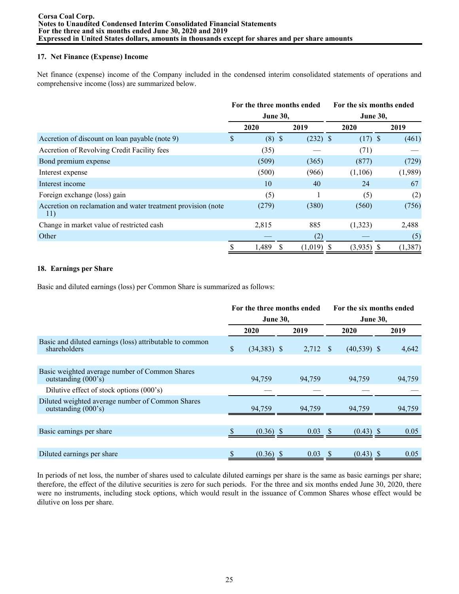## **17. Net Finance (Expense) Income**

Net finance (expense) income of the Company included in the condensed interim consolidated statements of operations and comprehensive income (loss) are summarized below.

|                                                                     | For the three months ended<br><b>June 30,</b> |          |  |              |  | For the six months ended |  |         |  |  |
|---------------------------------------------------------------------|-----------------------------------------------|----------|--|--------------|--|--------------------------|--|---------|--|--|
|                                                                     |                                               |          |  |              |  | <b>June 30,</b>          |  |         |  |  |
|                                                                     |                                               | 2020     |  | 2019         |  | 2020                     |  | 2019    |  |  |
| Accretion of discount on loan payable (note 9)                      | S                                             | $(8)$ \$ |  | $(232)$ \$   |  | $(17)$ \$                |  | (461)   |  |  |
| Accretion of Revolving Credit Facility fees                         |                                               | (35)     |  |              |  | (71)                     |  |         |  |  |
| Bond premium expense                                                |                                               | (509)    |  | (365)        |  | (877)                    |  | (729)   |  |  |
| Interest expense                                                    |                                               | (500)    |  | (966)        |  | (1,106)                  |  | (1,989) |  |  |
| Interest income                                                     |                                               | 10       |  | 40           |  | 24                       |  | 67      |  |  |
| Foreign exchange (loss) gain                                        |                                               | (5)      |  |              |  | (5)                      |  | (2)     |  |  |
| Accretion on reclamation and water treatment provision (note<br>11) |                                               | (279)    |  | (380)        |  | (560)                    |  | (756)   |  |  |
| Change in market value of restricted cash                           |                                               | 2,815    |  | 885          |  | (1,323)                  |  | 2,488   |  |  |
| Other                                                               |                                               |          |  | (2)          |  |                          |  | (5)     |  |  |
|                                                                     | \$                                            | 1,489    |  | $(1,019)$ \$ |  | $(3,935)$ \$             |  | (1,387) |  |  |

# **18. Earnings per Share**

Basic and diluted earnings (loss) per Common Share is summarized as follows:

|                                                                                 | For the three months ended |                 |  |            |                 | For the six months ended |  |        |  |  |
|---------------------------------------------------------------------------------|----------------------------|-----------------|--|------------|-----------------|--------------------------|--|--------|--|--|
|                                                                                 |                            | <b>June 30,</b> |  |            | <b>June 30,</b> |                          |  |        |  |  |
|                                                                                 |                            | 2020            |  | 2019       |                 | 2020                     |  | 2019   |  |  |
| Basic and diluted earnings (loss) attributable to common<br>shareholders        | \$                         | $(34,383)$ \$   |  | $2,712$ \$ |                 | $(40,539)$ \$            |  | 4,642  |  |  |
|                                                                                 |                            |                 |  |            |                 |                          |  |        |  |  |
| Basic weighted average number of Common Shares<br>outstanding $(000 \text{ s})$ |                            | 94,759          |  | 94,759     |                 | 94,759                   |  | 94,759 |  |  |
| Dilutive effect of stock options (000's)                                        |                            |                 |  |            |                 |                          |  |        |  |  |
| Diluted weighted average number of Common Shares<br>outstanding (000's)         |                            | 94,759          |  | 94,759     |                 | 94,759                   |  | 94,759 |  |  |
|                                                                                 |                            |                 |  |            |                 |                          |  |        |  |  |
| Basic earnings per share                                                        |                            | $(0.36)$ \$     |  | 0.03       |                 | $(0.43)$ \$              |  | 0.05   |  |  |
|                                                                                 |                            |                 |  |            |                 |                          |  |        |  |  |
| Diluted earnings per share                                                      | \$                         | $(0.36)$ \$     |  | 0.03       | -S              | $(0.43)$ \$              |  | 0.05   |  |  |

In periods of net loss, the number of shares used to calculate diluted earnings per share is the same as basic earnings per share; therefore, the effect of the dilutive securities is zero for such periods. For the three and six months ended June 30, 2020, there were no instruments, including stock options, which would result in the issuance of Common Shares whose effect would be dilutive on loss per share.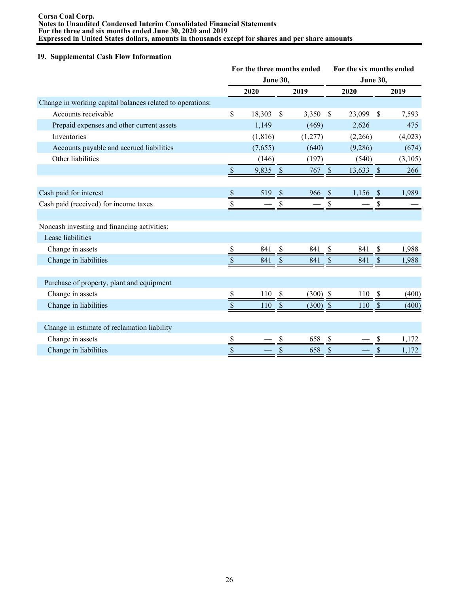#### **Corsa Coal Corp. Notes to Unaudited Condensed Interim Consolidated Financial Statements For the three and six months ended June 30, 2020 and 2019 Expressed in United States dollars, amounts in thousands except for shares and per share amounts**

### **19. Supplemental Cash Flow Information**

|                                                           | For the three months ended |          |               |            | For the six months ended |         |                           |         |  |
|-----------------------------------------------------------|----------------------------|----------|---------------|------------|--------------------------|---------|---------------------------|---------|--|
|                                                           | <b>June 30,</b>            |          |               |            | <b>June 30,</b>          |         |                           |         |  |
|                                                           |                            | 2020     |               | 2019       |                          | 2020    |                           | 2019    |  |
| Change in working capital balances related to operations: |                            |          |               |            |                          |         |                           |         |  |
| Accounts receivable                                       | \$                         | 18,303   | \$            | 3,350      | <sup>\$</sup>            | 23,099  | S                         | 7,593   |  |
| Prepaid expenses and other current assets                 |                            | 1,149    |               | (469)      |                          | 2,626   |                           | 475     |  |
| Inventories                                               |                            | (1, 816) |               | (1,277)    |                          | (2,266) |                           | (4,023) |  |
| Accounts payable and accrued liabilities                  |                            | (7,655)  |               | (640)      |                          | (9,286) |                           | (674)   |  |
| Other liabilities                                         |                            | (146)    |               | (197)      |                          | (540)   |                           | (3,105) |  |
|                                                           | $\mathbb S$                | 9,835    | $\mathcal{S}$ | 767        | $\mathcal{S}$            | 13,633  | $\sqrt{S}$                | 266     |  |
|                                                           |                            |          |               |            |                          |         |                           |         |  |
| Cash paid for interest                                    | $\boldsymbol{\mathsf{S}}$  | 519      | <sup>S</sup>  | 966        | <sup>S</sup>             | 1,156   | - \$                      | 1,989   |  |
| Cash paid (received) for income taxes                     |                            |          |               |            |                          |         | \$                        |         |  |
|                                                           |                            |          |               |            |                          |         |                           |         |  |
| Noncash investing and financing activities:               |                            |          |               |            |                          |         |                           |         |  |
| Lease liabilities                                         |                            |          |               |            |                          |         |                           |         |  |
| Change in assets                                          |                            | 841      | S             | 841        |                          | 841     | S                         | 1,988   |  |
| Change in liabilities                                     | \$                         | 841      | S             | 841        | \$                       | 841     | S                         | 1,988   |  |
|                                                           |                            |          |               |            |                          |         |                           |         |  |
| Purchase of property, plant and equipment                 |                            |          |               |            |                          |         |                           |         |  |
| Change in assets                                          | \$                         | 110      | $\mathcal{S}$ | $(300)$ \$ |                          | 110     | $\boldsymbol{\mathsf{S}}$ | (400)   |  |
| Change in liabilities                                     | \$                         | 110      | $\mathcal{S}$ | $(300)$ \$ |                          | 110     | \$                        | (400)   |  |
|                                                           |                            |          |               |            |                          |         |                           |         |  |
| Change in estimate of reclamation liability               |                            |          |               |            |                          |         |                           |         |  |
| Change in assets                                          | \$                         |          | \$            | 658        | \$                       |         | S                         | 1,172   |  |
| Change in liabilities                                     | $\boldsymbol{\mathsf{S}}$  |          | \$            | 658        | \$                       |         | \$                        | 1,172   |  |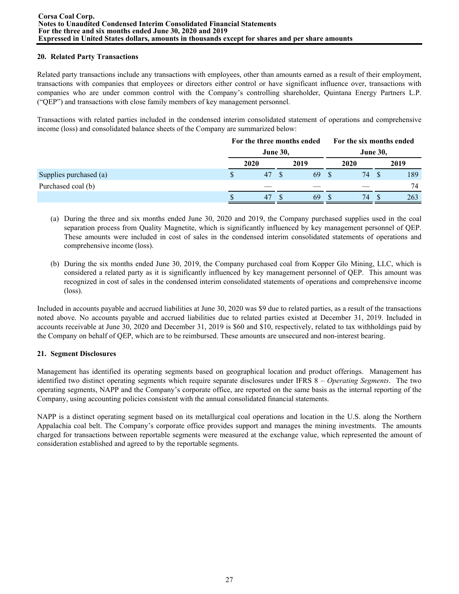## **20. Related Party Transactions**

Related party transactions include any transactions with employees, other than amounts earned as a result of their employment, transactions with companies that employees or directors either control or have significant influence over, transactions with companies who are under common control with the Company's controlling shareholder, Quintana Energy Partners L.P. ("QEP") and transactions with close family members of key management personnel.

Transactions with related parties included in the condensed interim consolidated statement of operations and comprehensive income (loss) and consolidated balance sheets of the Company are summarized below:

|                        | For the three months ended |  |      | For the six months ended |                 |  |      |  |
|------------------------|----------------------------|--|------|--------------------------|-----------------|--|------|--|
|                        | <b>June 30,</b>            |  |      |                          | <b>June 30,</b> |  |      |  |
|                        | 2020                       |  | 2019 |                          | 2020            |  | 2019 |  |
| Supplies purchased (a) | 47                         |  | 69   |                          | 74              |  | 189  |  |
| Purchased coal (b)     |                            |  |      |                          |                 |  | 74   |  |
|                        | 47                         |  | 69   |                          | 74              |  | 263  |  |

- (a) During the three and six months ended June 30, 2020 and 2019, the Company purchased supplies used in the coal separation process from Quality Magnetite, which is significantly influenced by key management personnel of QEP. These amounts were included in cost of sales in the condensed interim consolidated statements of operations and comprehensive income (loss).
- (b) During the six months ended June 30, 2019, the Company purchased coal from Kopper Glo Mining, LLC, which is considered a related party as it is significantly influenced by key management personnel of QEP. This amount was recognized in cost of sales in the condensed interim consolidated statements of operations and comprehensive income (loss).

Included in accounts payable and accrued liabilities at June 30, 2020 was \$9 due to related parties, as a result of the transactions noted above. No accounts payable and accrued liabilities due to related parties existed at December 31, 2019. Included in accounts receivable at June 30, 2020 and December 31, 2019 is \$60 and \$10, respectively, related to tax withholdings paid by the Company on behalf of QEP, which are to be reimbursed. These amounts are unsecured and non-interest bearing.

## **21. Segment Disclosures**

Management has identified its operating segments based on geographical location and product offerings. Management has identified two distinct operating segments which require separate disclosures under IFRS 8 – *Operating Segments*. The two operating segments, NAPP and the Company's corporate office, are reported on the same basis as the internal reporting of the Company, using accounting policies consistent with the annual consolidated financial statements.

NAPP is a distinct operating segment based on its metallurgical coal operations and location in the U.S. along the Northern Appalachia coal belt. The Company's corporate office provides support and manages the mining investments. The amounts charged for transactions between reportable segments were measured at the exchange value, which represented the amount of consideration established and agreed to by the reportable segments.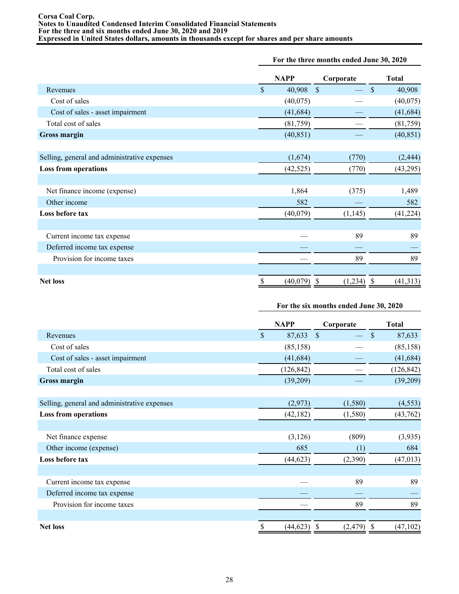### **For the three months ended June 30, 2020**

|                                              | <b>NAPP</b> |           | Corporate     | <b>Total</b> |           |
|----------------------------------------------|-------------|-----------|---------------|--------------|-----------|
| Revenues                                     | \$          | 40,908    | $\mathcal{S}$ | $\mathbb{S}$ | 40,908    |
| Cost of sales                                |             | (40,075)  |               |              | (40,075)  |
| Cost of sales - asset impairment             |             | (41, 684) |               |              | (41, 684) |
| Total cost of sales                          |             | (81,759)  |               |              | (81,759)  |
| <b>Gross margin</b>                          |             | (40, 851) |               |              | (40, 851) |
|                                              |             |           |               |              |           |
| Selling, general and administrative expenses |             | (1,674)   | (770)         |              | (2, 444)  |
| <b>Loss from operations</b>                  |             | (42, 525) | (770)         |              | (43,295)  |
|                                              |             |           |               |              |           |
| Net finance income (expense)                 |             | 1,864     | (375)         |              | 1,489     |
| Other income                                 |             | 582       |               |              | 582       |
| Loss before tax                              |             | (40,079)  | (1,145)       |              | (41, 224) |
|                                              |             |           |               |              |           |
| Current income tax expense                   |             |           | 89            |              | 89        |
| Deferred income tax expense                  |             |           |               |              |           |
| Provision for income taxes                   |             |           | 89            |              | 89        |
|                                              |             |           |               |              |           |
| <b>Net loss</b>                              | \$          | (40,079)  | (1,234)       | S            | (41, 313) |

# **For the six months ended June 30, 2020**

|                                              |              | <b>NAPP</b> | Corporate                    | <b>Total</b> |            |
|----------------------------------------------|--------------|-------------|------------------------------|--------------|------------|
| Revenues                                     | $\mathbb{S}$ | 87,633      | <sup>S</sup>                 | \$           | 87,633     |
| Cost of sales                                |              | (85, 158)   |                              |              | (85, 158)  |
| Cost of sales - asset impairment             |              | (41, 684)   |                              |              | (41, 684)  |
| Total cost of sales                          |              | (126, 842)  |                              |              | (126, 842) |
| <b>Gross margin</b>                          |              | (39,209)    |                              |              | (39,209)   |
|                                              |              |             |                              |              |            |
| Selling, general and administrative expenses |              | (2,973)     | (1,580)                      |              | (4, 553)   |
| <b>Loss from operations</b>                  |              | (42, 182)   | (1,580)                      |              | (43, 762)  |
|                                              |              |             |                              |              |            |
| Net finance expense                          |              | (3,126)     | (809)                        |              | (3,935)    |
| Other income (expense)                       |              | 685         | (1)                          |              | 684        |
| Loss before tax                              |              | (44, 623)   | (2,390)                      |              | (47, 013)  |
|                                              |              |             |                              |              |            |
| Current income tax expense                   |              |             | 89                           |              | 89         |
| Deferred income tax expense                  |              |             |                              |              |            |
| Provision for income taxes                   |              |             | 89                           |              | 89         |
|                                              |              |             |                              |              |            |
| <b>Net loss</b>                              | \$           | (44, 623)   | $(2,479)$ \$<br>$\mathbb{S}$ |              | (47, 102)  |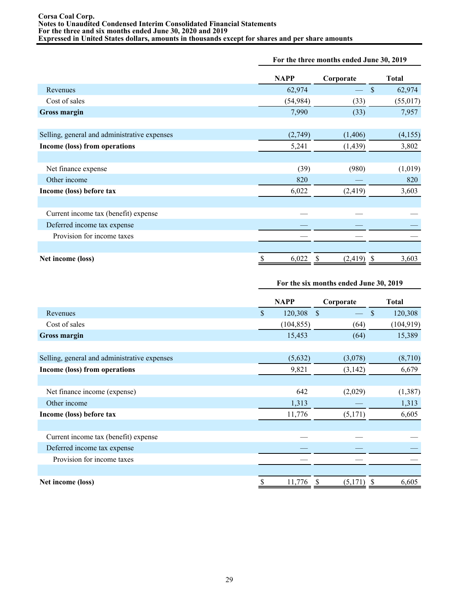|                                              |             | For the three months ended June 30, 2019 |              |  |  |  |
|----------------------------------------------|-------------|------------------------------------------|--------------|--|--|--|
|                                              | <b>NAPP</b> | Corporate                                | <b>Total</b> |  |  |  |
| Revenues                                     | 62,974      |                                          | \$<br>62,974 |  |  |  |
| Cost of sales                                | (54, 984)   | (33)                                     | (55, 017)    |  |  |  |
| <b>Gross margin</b>                          | 7,990       | (33)                                     | 7,957        |  |  |  |
| Selling, general and administrative expenses | (2,749)     | (1,406)                                  | (4,155)      |  |  |  |
| Income (loss) from operations                | 5,241       | (1, 439)                                 | 3,802        |  |  |  |
|                                              |             |                                          |              |  |  |  |
| Net finance expense                          | (39)        | (980)                                    | (1,019)      |  |  |  |
| Other income                                 | 820         |                                          | 820          |  |  |  |
| Income (loss) before tax                     | 6,022       | (2, 419)                                 | 3,603        |  |  |  |
| Current income tax (benefit) expense         |             |                                          |              |  |  |  |
| Deferred income tax expense                  |             |                                          |              |  |  |  |
| Provision for income taxes                   |             |                                          |              |  |  |  |
| Net income (loss)                            | 6,022<br>\$ | (2, 419)<br>S                            | 3,603<br>-S  |  |  |  |

### **For the six months ended June 30, 2019**

|                                              | <b>NAPP</b> |            | Corporate     | <b>Total</b> |            |
|----------------------------------------------|-------------|------------|---------------|--------------|------------|
| Revenues                                     | $\mathbf S$ | 120,308    | $\mathcal{S}$ | $\mathbf{s}$ | 120,308    |
| Cost of sales                                |             | (104, 855) | (64)          |              | (104, 919) |
| <b>Gross margin</b>                          |             | 15,453     | (64)          |              | 15,389     |
|                                              |             |            |               |              |            |
| Selling, general and administrative expenses |             | (5,632)    | (3,078)       |              | (8,710)    |
| Income (loss) from operations                |             | 9,821      | (3, 142)      |              | 6,679      |
|                                              |             |            |               |              |            |
| Net finance income (expense)                 |             | 642        | (2,029)       |              | (1, 387)   |
| Other income                                 |             | 1,313      |               |              | 1,313      |
| Income (loss) before tax                     |             | 11,776     | (5,171)       |              | 6,605      |
|                                              |             |            |               |              |            |
| Current income tax (benefit) expense         |             |            |               |              |            |
| Deferred income tax expense                  |             |            |               |              |            |
| Provision for income taxes                   |             |            |               |              |            |
|                                              |             |            |               |              |            |
| Net income (loss)                            |             | 11,776     | (5,171)       |              | 6,605      |